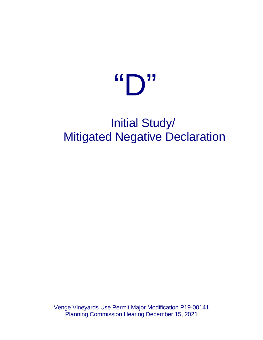# "D"

## Initial Study/ Mitigated Negative Declaration

Venge Vineyards Use Permit Major Modification P19-00141 Planning Commission Hearing December 15, 2021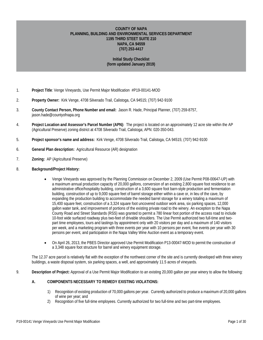#### **COUNTY OF NAPA PLANNING, BUILDING AND ENVIRONMENTAL SERVICES DEPARTMENT 1195 THIRD STEET SUITE 210 NAPA, CA 94559 (707) 253-4417**

#### **Initial Study Checklist (form updated January 2019)**

- 1. **Project Title**: Venge Vineyards, Use Permit Major Modification #P19-00141-MOD
- 2. **Property Owner:** Kirk Venge, 4708 Silverado Trail, Calistoga, CA 94515; (707) 942-9100
- 3. **County Contact Person, Phone Number and email:** Jason R. Hade, Principal Planner, (707) 259-8757, jason.hade@countyofnapa.org
- 4. **Project Location and Assessor's Parcel Number (APN):** The project is located on an approximately 12 acre site within the AP (Agricultural Preserve) zoning district at 4708 Silverado Trail, Calistoga; APN: 020-350-043.
- 5. **Project sponsor's name and address:** Kirk Venge, 4708 Silverado Trail, Calistoga, CA 94515; (707) 942-9100
- 6. **General Plan description:** Agricultural Resource (AR) designation
- 7. **Zoning:** AP (Agricultural Preserve)
- 8. **Background/Project History:**
	- Venge Vineyards was approved by the Planning Commission on December 2, 2009 (Use Permit P08-00647-UP) with a maximum annual production capacity of 20,000 gallons, conversion of an existing 2,800 square foot residence to an administrative office/hospitality building, construction of a 3,600 square foot barn-style production and fermentation building, construction of up to 9,000 square feet of barrel storage either within a cave or, in lieu of the cave, by expanding the production building to accommodate the needed barrel storage for a winery totaling a maximum of 15,400 square feet, construction of a 3,324 square foot uncovered outdoor work area, six parking spaces, 12,000 gallon water tank, and improvement of portions of the existing private road to the winery. An exception to the Napa County Road and Street Standards (RSS) was granted to permit a 780 linear foot portion of the access road to include 10-foot wide surfaced roadway plus two-feet of drivable shoulders. The Use Permit authorized two full-time and twopart time employees, tours and tastings by appointment only with 20 visitors per day and a maximum of 140 visitors per week, and a marketing program with three events per year with 10 persons per event, five events per year with 30 persons per event, and participation in the Napa Valley Wine Auction event as a temporary event.
	- On April 26, 2013, the PBES Director approved Use Permit Modification P13-00047-MOD to permit the construction of a 3,348 square foot structure for barrel and winery equipment storage.

The 12.37 acre parcel is relatively flat with the exception of the northwest corner of the site and is currently developed with three winery buildings, a waste disposal system, six parking spaces, a well, and approximately 11.5 acres of vineyards.

9. **Description of Project:** Approval of a Use Permit Major Modification to an existing 20,000 gallon per year winery to allow the following:

#### **A. COMPONENTS NECESSARY TO REMEDY EXISTING VIOLATIONS:**

- 1) Recognition of existing production of 70,000 gallons per year. Currently authorized to produce a maximum of 20,000 gallons of wine per year; and
- 2) Recognition of five full-time employees. Currently authorized for two full-time and two part-time employees.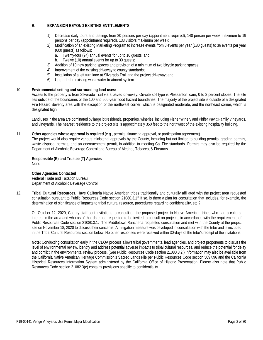#### **B. EXPANSION BEYOND EXISTING ENTITLEMENTS:**

- 1) Decrease daily tours and tastings from 20 persons per day (appointment required), 140 person per week maximum to 19 persons per day (appointment required), 133 visitors maximum per week;
- 2) Modification of an existing Marketing Program to increase events from 8 events per year (180 guests) to 36 events per year (600 guests) as follows:
	- a. Twenty-four (24) annual events for up to 10 guests; and
	- b. Twelve (10) annual events for up to 30 quests:
- 3) Addition of 10 new parking spaces and provision of a minimum of two bicycle parking spaces;
- 4) Improvement of the existing driveway to county standards;
- 5) Installation of a left turn lane at Silverado Trail and the project driveway; and
- 6) Upgrade the existing wastewater treatment system.

#### 10. **Environmental setting and surrounding land uses:**

Access to the property is from Silverado Trail via a paved driveway. On-site soil type is Pleasanton loam, 0 to 2 percent slopes. The site lies outside of the boundaries of the 100 and 500-year flood hazard boundaries. The majority of the project site is outside of a designated Fire Hazard Severity area with the exception of the northwest corner, which is designated moderate, and the northeast corner, which is designated high.

Land uses in the area are dominated by large lot residential properties, wineries, including Fisher Winery and Phifer Pavitt Family Vineyards, and vineyards. The nearest residence to the project site is approximately 350 feet to the northwest of the existing hospitality building.

#### 11. **Other agencies whose approval is required** (e.g., permits, financing approval, or participation agreement).

The project would also require various ministerial approvals by the County, including but not limited to building permits, grading permits, waste disposal permits, and an encroachment permit, in addition to meeting Cal Fire standards. Permits may also be required by the Department of Alcoholic Beverage Control and Bureau of Alcohol, Tobacco, & Firearms.

#### **Responsible (R) and Trustee (T) Agencies**  None

#### **Other Agencies Contacted**

Federal Trade and Taxation Bureau Department of Alcoholic Beverage Control

12. **Tribal Cultural Resources.** Have California Native American tribes traditionally and culturally affiliated with the project area requested consultation pursuant to Public Resources Code section 21080.3.1? If so, is there a plan for consultation that includes, for example, the determination of significance of impacts to tribal cultural resource, procedures regarding confidentiality, etc.?

On October 12, 2020, County staff sent invitations to consult on the proposed project to Native American tribes who had a cultural interest in the area and who as of that date had requested to be invited to consult on projects, in accordance with the requirements of Public Resources Code section 21080.3.1. The Middletown Rancheria requested consultation and met with the County at the project site on November 18, 2020 to discuss their concerns. A mitigation measure was developed in consultation with the tribe and is included in the Tribal Cultural Resources section below. No other responses were received within 30-days of the tribe's receipt of the invitations.

**Note:** Conducting consultation early in the CEQA process allows tribal governments, lead agencies, and project proponents to discuss the level of environmental review, identify and address potential adverse impacts to tribal cultural resources, and reduce the potential for delay and conflict in the environmental review process. (See Public Resources Code section 21080.3.2.) Information may also be available from the California Native American Heritage Commission's Sacred Lands File per Public Resources Code section 5097.96 and the California Historical Resources Information System administered by the California Office of Historic Preservation. Please also note that Public Resources Code section 21082.3(c) contains provisions specific to confidentiality.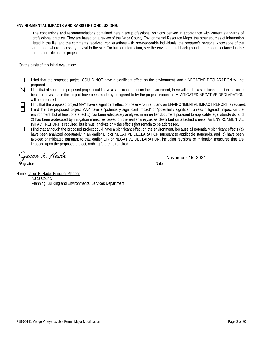#### **ENVIRONMENTAL IMPACTS AND BASIS OF CONCLUSIONS:**

The conclusions and recommendations contained herein are professional opinions derived in accordance with current standards of professional practice. They are based on a review of the Napa County Environmental Resource Maps, the other sources of information listed in the file, and the comments received, conversations with knowledgeable individuals; the preparer's personal knowledge of the area; and, where necessary, a visit to the site. For further information, see the environmental background information contained in the permanent file on this project.

On the basis of this initial evaluation:

 $\Box$ I find that the proposed project COULD NOT have a significant effect on the environment, and a NEGATIVE DECLARATION will be prepared.

 $\boxtimes$ I find that although the proposed project could have a significant effect on the environment, there will not be a significant effect in this case because revisions in the project have been made by or agreed to by the project proponent. A MITIGATED NEGATIVE DECLARATION will be prepared.

I find that the proposed project MAY have a significant effect on the environment, and an ENVIRONMENTAL IMPACT REPORT is required.

- I find that the proposed project MAY have a "potentially significant impact" or "potentially significant unless mitigated" impact on the environment, but at least one effect 1) has been adequately analyzed in an earlier document pursuant to applicable legal standards, and 2) has been addressed by mitigation measures based on the earlier analysis as described on attached sheets. An ENVIRONMENTAL IMPACT REPORT is required, but it must analyze only the effects that remain to be addressed.
- I find that although the proposed project could have a significant effect on the environment, because all potentially significant effects (a)  $\Box$ have been analyzed adequately in an earlier EIR or NEGATIVE DECLARATION pursuant to applicable standards, and (b) have been avoided or mitigated pursuant to that earlier EIR or NEGATIVE DECLARATION, including revisions or mitigation measures that are imposed upon the proposed project, nothing further is required.

rson R. Hade  $\overline{a}$ 

Signature Date **Date** 

November 15, 2021

Name: Jason R. Hade, Principal Planner Napa County Planning, Building and Environmental Services Department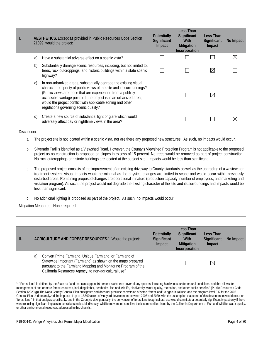| L |    | <b>AESTHETICS.</b> Except as provided in Public Resources Code Section<br>21099, would the project:                                                                                                                                                                                                                                                                                       | <b>Potentially</b><br>Significant<br>Impact | Less Than<br>Significant<br>With<br><b>Mitigation</b><br>Incorporation | Less Than<br>Significant<br>Impact | No Impact   |
|---|----|-------------------------------------------------------------------------------------------------------------------------------------------------------------------------------------------------------------------------------------------------------------------------------------------------------------------------------------------------------------------------------------------|---------------------------------------------|------------------------------------------------------------------------|------------------------------------|-------------|
|   | a) | Have a substantial adverse effect on a scenic vista?                                                                                                                                                                                                                                                                                                                                      |                                             |                                                                        |                                    | $\boxtimes$ |
|   | b) | Substantially damage scenic resources, including, but not limited to,<br>trees, rock outcroppings, and historic buildings within a state scenic<br>highway?                                                                                                                                                                                                                               |                                             |                                                                        | $\boxtimes$                        |             |
|   | C) | In non-urbanized areas, substantially degrade the existing visual<br>character or quality of public views of the site and its surroundings?<br>(Public views are those that are experienced from a publicly<br>accessible vantage point.) If the project is in an urbanized area,<br>would the project conflict with applicable zoning and other<br>regulations governing scenic quality? |                                             |                                                                        | ⊠                                  |             |
|   | d) | Create a new source of substantial light or glare which would<br>adversely affect day or nighttime views in the area?                                                                                                                                                                                                                                                                     |                                             |                                                                        |                                    |             |

- a. The project site is not located within a scenic vista, nor are there any proposed new structures. As such, no impacts would occur.
- b. Silverado Trail is identified as a Viewshed Road. However, the County's Viewshed Protection Program is not applicable to the proposed project as no construction is proposed on slopes in excess of 15 percent. No trees would be removed as part of project construction. No rock outcroppings or historic buildings are located at the subject site. Impacts would be less than significant.
- c. The proposed project consists of the improvement of an existing driveway to County standards as well as the upgrading of a wastewater treatment system. Visual impacts would be minimal as the physical changes are limited in scope and would occur within previously disturbed areas. Remaining proposed changes are operational in nature (production capacity, number of employees, and marketing and visitation program). As such, the project would not degrade the existing character of the site and its surroundings and impacts would be less than significant.
- d. No additional lighting is proposed as part of the project. As such, no impacts would occur.

| Ш. | AGRICULTURE AND FOREST RESOURCES. <sup>1</sup> Would the project:                                                                                                                                                                                        | Potentially<br>Significant<br>Impact | Less Than<br>Significant<br>With<br><b>Mitigation</b><br>Incorporation | Less Than<br>Significant<br>Impact | No Impact |
|----|----------------------------------------------------------------------------------------------------------------------------------------------------------------------------------------------------------------------------------------------------------|--------------------------------------|------------------------------------------------------------------------|------------------------------------|-----------|
|    | Convert Prime Farmland, Unique Farmland, or Farmland of<br>a)<br>Statewide Important (Farmland) as shown on the maps prepared<br>pursuant to the Farmland Mapping and Monitoring Program of the<br>California Resources Agency, to non-agricultural use? |                                      |                                                                        | $\boxtimes$                        |           |

<span id="page-4-0"></span><sup>&</sup>lt;sup>1</sup> "Forest land" is defined by the State as "land that can support 10-percent native tree cover of any species, including hardwoods, under natural conditions, and that allows for management of one or more forest resources, including timber, aesthetics, fish and wildlife, biodiversity, water quality, recreation, and other public benefits." (Public Resources Code Section 12220(g)) The Napa County General Plan anticipates and does not preclude conversion of some "forest land" to agricultural use, and the program-level EIR for the 2008 General Plan Update analyzed the impacts of up to 12,500 acres of vineyard development between 2005 and 2030, with the assumption that some of this development would occur on "forest land." In that analysis specifically, and in the County's view generally, the conversion of forest land to agricultural use would constitute a potentially significant impact only if there were resulting significant impacts to sensitive species, biodiversity, wildlife movement, sensitive biotic communities listed by the California Department of Fish and Wildlife, water quality, or other environmental resources addressed in this checklist.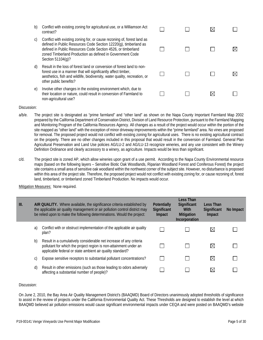- b) Conflict with existing zoning for agricultural use, or a Williamson Act contract?
- c) Conflict with existing zoning for, or cause rezoning of, forest land as defined in Public Resources Code Section 12220(g), timberland as defined in Public Resources Code Section 4526, or timberland zoned Timberland Production as defined in Government Code Section 51104(g)?
- d) Result in the loss of forest land or conversion of forest land to nonforest use in a manner that will significantly affect timber, aesthetics, fish and wildlife, biodiversity, water quality, recreation, or other public benefits?
- e) Involve other changes in the existing environment which, due to their location or nature, could result in conversion of Farmland to non-agricultural use?

| $\Box$ | $\Box$         | $\boxtimes$ | $\blacksquare$ |
|--------|----------------|-------------|----------------|
| $\Box$ | $\Box$         | $\Box$      | $\boxtimes$    |
| $\Box$ | $\Box$         | $\Box$      | $\boxtimes$    |
| ⊔      | $\blacksquare$ | $\boxtimes$ | $\blacksquare$ |

- a/b/e. The project site is designated as "prime farmland" and "other land" as shown on the Napa County Important Farmland Map 2002 prepared by the California Department of Conservation District, Division of Land Resource Protection, pursuant to the Farmland Mapping and Monitoring Program of the California Resources Agency. All changes as a result of the project would occur within the portion of the site mapped as "other land" with the exception of minor driveway improvements within the "prime farmland" area. No vines are proposed for removal. The proposed project would not conflict with existing zoning for agricultural uses. There is no existing agricultural contract on the property. There are no other changes included in this proposal that would result in the conversion of Farmland. General Plan Agricultural Preservation and Land Use policies AG/LU-2 and AG/LU-13 recognize wineries, and any use consistent with the Winery Definition Ordinance and clearly accessory to a winery, as agriculture. Impacts would be less than significant.
- c/d. The project site is zoned AP, which allow wineries upon grant of a use permit. According to the Napa County Environmental resource maps (based on the following layers – Sensitive Biotic Oak Woodlands, Riparian Woodland Forest and Coniferous Forest) the project site contains a small area of sensitive oak woodland within the northwest corner of the subject site. However, no disturbance is proposed within this area of the project site. Therefore, the proposed project would not conflict with existing zoning for, or cause rezoning of, forest land, timberland, or timberland zoned Timberland Production. No impacts would occur.

Mitigation Measures: None required.

| III. |    | AIR QUALITY. Where available, the significance criteria established by<br>the applicable air quality management or air pollution control district may<br>be relied upon to make the following determinations. Would the project: | <b>Potentially</b><br>Significant<br>Impact | Less Than<br>Significant<br><b>With</b><br><b>Mitigation</b><br>Incorporation | Less Than<br><b>Significant</b><br>Impact | No Impact |
|------|----|----------------------------------------------------------------------------------------------------------------------------------------------------------------------------------------------------------------------------------|---------------------------------------------|-------------------------------------------------------------------------------|-------------------------------------------|-----------|
|      | a) | Conflict with or obstruct implementation of the applicable air quality<br>plan?                                                                                                                                                  |                                             |                                                                               | $\boxtimes$                               |           |
|      | b) | Result in a cumulatively considerable net increase of any criteria<br>pollutant for which the project region is non-attainment under an<br>applicable federal or state ambient air quality standard?                             |                                             |                                                                               | $\boxtimes$                               |           |
|      | C) | Expose sensitive receptors to substantial pollutant concentrations?                                                                                                                                                              |                                             |                                                                               | $\boxtimes$                               |           |
|      | d) | Result in other emissions (such as those leading to odors adversely<br>affecting a substantial number of people)?                                                                                                                |                                             |                                                                               | $\bowtie$                                 |           |

#### Discussion:

On June 2, 2010, the Bay Area Air Quality Management District's (BAAQMD) Board of Directors unanimously adopted thresholds of significance to assist in the review of projects under the California Environmental Quality Act. These Thresholds are designed to establish the level at which BAAQMD believed air pollution emissions would cause significant environmental impacts under CEQA and were posted on BAAQMD's website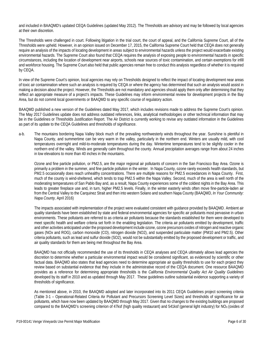and included in BAAQMD's updated CEQA Guidelines (updated May 2012). The Thresholds are advisory and may be followed by local agencies at their own discretion.

The Thresholds were challenged in court. Following litigation in the trial court, the court of appeal, and the California Supreme Court, all of the Thresholds were upheld. However, in an opinion issued on December 17, 2015, the California Supreme Court held that CEQA does not generally require an analysis of the impacts of locating development in areas subject to environmental hazards unless the project would exacerbate existing environmental hazards. The Supreme Court also found that CEQA requires the analysis of exposing people to environmental hazards in specific circumstances, including the location of development near airports, schools near sources of toxic contamination, and certain exemptions for infill and workforce housing. The Supreme Court also held that public agencies remain free to conduct this analysis regardless of whether it is required by CEQA.

In view of the Supreme Court's opinion, local agencies may rely on Thresholds designed to reflect the impact of locating development near areas of toxic air contamination where such an analysis is required by CEQA or where the agency has determined that such an analysis would assist in making a decision about the project. However, the Thresholds are not mandatory and agencies should apply them only after determining that they reflect an appropriate measure of a project's impacts. These Guidelines may inform environmental review for development projects in the Bay Area, but do not commit local governments or BAAQMD to any specific course of regulatory action.

BAAQMD published a new version of the Guidelines dated May 2017, which includes revisions made to address the Supreme Court's opinion. The May 2017 Guidelines update does not address outdated references, links, analytical methodologies or other technical information that may be in the Guidelines or Thresholds Justification Report. The Air District is currently working to revise any outdated information in the Guidelines as part of its update to the CEQA Guidelines and thresholds of significance.

a-b. The mountains bordering Napa Valley block much of the prevailing northwesterly winds throughout the year. Sunshine is plentiful in Napa County, and summertime can be very warm in the valley, particularly in the northern end. Winters are usually mild, with cool temperatures overnight and mild-to-moderate temperatures during the day. Wintertime temperatures tend to be slightly cooler in the northern end of the valley. Winds are generally calm throughout the county. Annual precipitation averages range from about 24 inches in low elevations to more than 40 inches in the mountains.

Ozone and fine particle pollution, or PM2.5, are the major regional air pollutants of concern in the San Francisco Bay Area. Ozone is primarily a problem in the summer, and fine particle pollution in the winter. In Napa County, ozone rarely exceeds health standards, but PM2.5 occasionally does reach unhealthy concentrations. There are multiple reasons for PM2.5 exceedances in Napa County. First, much of the county is wind-sheltered, which tends to trap PM2.5 within the Napa Valley. Second, much of the area is well north of the moderating temperatures of San Pablo Bay and, as a result, Napa County experiences some of the coldest nights in the Bay Area. This leads to greater fireplace use and, in turn, higher PM2.5 levels. Finally, in the winter easterly winds often move fine-particle-laden air from the Central Valley to the Carquinez Strait and then into western Solano and southern Napa County (BAAQMD, *In Your Community: Napa County,* April 2016)

The impacts associated with implementation of the project were evaluated consistent with guidance provided by BAAQMD. Ambient air quality standards have been established by state and federal environmental agencies for specific air pollutants most pervasive in urban environments. These pollutants are referred to as criteria air pollutants because the standards established for them were developed to meet specific health and welfare criteria set forth in the enabling legislation. The criteria air pollutants emitted by development, traffic and other activities anticipated under the proposed development include ozone, ozone precursors oxides of nitrogen and reactive organic gases (NOx and ROG), carbon monoxide (CO), nitrogen dioxide (NO2), and suspended particulate matter (PM10 and PM2.5). Other criteria pollutants, such as lead and sulfur dioxide (SO2), would not be substantially emitted by the proposed development or traffic, and air quality standards for them are being met throughout the Bay Area.

BAAQMD has not officially recommended the use of its thresholds in CEQA analyses and CEQA ultimately allows lead agencies the discretion to determine whether a particular environmental impact would be considered significant, as evidenced by scientific or other factual data. BAAQMD also states that lead agencies need to determine appropriate air quality thresholds to use for each project they review based on substantial evidence that they include in the administrative record of the CEQA document. One resource BAAQMD provides as a reference for determining appropriate thresholds is the *California Environmental Quality Act Air Quality Guidelines* developed by its staff in 2010 and as updated through May 2017. These guidelines outline substantial evidence supporting a variety of thresholds of significance.

As mentioned above, in 2010, the BAAQMD adopted and later incorporated into its 2011 CEQA Guidelines project screening criteria (Table 3-1 – Operational-Related Criteria Air Pollutant and Precursors Screening Level Sizes) and thresholds of significance for air pollutants, which have now been updated by BAAQMD through May 2017. Given that no changes to the existing buildings are proposed compared to the BAAQMD's screening criterion of 47ksf (high quality restaurant) and 541ksf (general light industry) for NO<sub>x</sub> (oxides of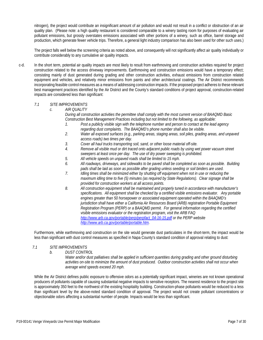nitrogen), the project would contribute an insignificant amount of air pollution and would not result in a conflict or obstruction of an air quality plan. (Please note: a high quality restaurant is considered comparable to a winery tasting room for purposes of evaluating air pollutant emissions, but grossly overstates emissions associated with other portions of a winery, such as office, barrel storage and production, which generate fewer vehicle trips. Therefore, a general light industry comparison has also been used for other such uses.)

The project falls well below the screening criteria as noted above, and consequently will not significantly affect air quality individually or contribute considerably to any cumulative air quality impacts.

c-d. In the short term, potential air quality impacts are most likely to result from earthmoving and construction activities required for project construction related to the access driveway improvements. Earthmoving and construction emissions would have a temporary effect; consisting mainly of dust generated during grading and other construction activities, exhaust emissions from construction related equipment and vehicles, and relatively minor emissions from paints and other architectural coatings. The Air District recommends incorporating feasible control measures as a means of addressing construction impacts. If the proposed project adheres to these relevant best management practices identified by the Air District and the County's standard conditions of project approval, construction-related impacts are considered less than significant:

#### *7.1 SITE IMPROVEMENTS*

*c. AIR QUALITY*

*During all construction activities the permittee shall comply with the most current version of BAAQMD Basic Construction Best Management Practices including but not limited to the following, as applicable:*

- *1. Post a publicly visible sign with the telephone number and person to contact at the lead agency regarding dust complaints. The BAAQMD's phone number shall also be visible.*
- *2. Water all exposed surfaces (e.g., parking areas, staging areas, soil piles, grading areas, and unpaved access roads) two times per day.*
- *3. Cover all haul trucks transporting soil, sand, or other loose material off-site.*
- *4. Remove all visible mud or dirt traced onto adjacent public roads by using wet power vacuum street sweepers at least once per day. The use of dry power sweeping is prohibited.*
- *5. All vehicle speeds on unpaved roads shall be limited to 15 mph.*
- *6. All roadways, driveways, and sidewalks to be paved shall be completed as soon as possible. Building pads shall be laid as soon as possible after grading unless seeding or soil binders are used.*
- *7. Idling times shall be minimized either by shutting off equipment when not in use or reducing the maximum idling time to five (5) minutes (as required by State Regulations). Clear signage shall be provided for construction workers at all access points.*
- *8. All construction equipment shall be maintained and properly tuned in accordance with manufacturer's specifications. All equipment shall be checked by a certified visible emissions evaluator. Any portable engines greater than 50 horsepower or associated equipment operated within the BAAQMD's jurisdiction shall have either a California Air Resources Board (ARB) registration Portable Equipment Registration Program (PERP) or a BAAQMD permit. For general information regarding the certified visible emissions evaluator or the registration program, visit the ARB FAQ [http://www.arb.ca.gov/portable/perp/perpfact\\_04-16-15.pdf](http://www.arb.ca.gov/portable/perp/perpfact_04-16-15.pdf) or the PERP website [http://www.arb.ca.gov/portable/portable.htm.](http://www.arb.ca.gov/portable/portable.htm)*

Furthermore, while earthmoving and construction on the site would generate dust particulates in the short-term, the impact would be less than significant with dust control measures as specified in Napa County's standard condition of approval relating to dust:

#### *7.1 SITE IMPROVEMENTS*

*b. DUST CONTROL*

*Water and/or dust palliatives shall be applied in sufficient quantities during grading and other ground disturbing activities on-site to minimize the amount of dust produced. Outdoor construction activities shall not occur when average wind speeds exceed 20 mph.*

While the Air District defines public exposure to offensive odors as a potentially significant impact, wineries are not known operational producers of pollutants capable of causing substantial negative impacts to sensitive receptors. The nearest residence to the project site is approximately 350 feet to the northwest of the existing hospitality building. Construction-phase pollutants would be reduced to a less than significant level by the above-noted standard condition of approval. The project would not create pollutant concentrations or objectionable odors affecting a substantial number of people. Impacts would be less than significant.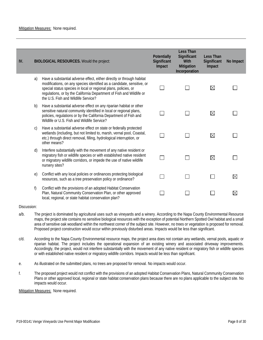| IV. | <b>BIOLOGICAL RESOURCES. Would the project:</b>                                                                                                                                                                                                                                                                                   | Potentially<br>Significant<br>Impact | Less Than<br>Significant<br>With<br>Mitigation<br>Incorporation | <b>Less Than</b><br>Significant<br>Impact | No Impact   |
|-----|-----------------------------------------------------------------------------------------------------------------------------------------------------------------------------------------------------------------------------------------------------------------------------------------------------------------------------------|--------------------------------------|-----------------------------------------------------------------|-------------------------------------------|-------------|
| a)  | Have a substantial adverse effect, either directly or through habitat<br>modifications, on any species identified as a candidate, sensitive, or<br>special status species in local or regional plans, policies, or<br>regulations, or by the California Department of Fish and Wildlife or<br>the U.S. Fish and Wildlife Service? |                                      |                                                                 | ⊠                                         |             |
| b)  | Have a substantial adverse effect on any riparian habitat or other<br>sensitive natural community identified in local or regional plans,<br>policies, regulations or by the California Department of Fish and<br>Wildlife or U.S. Fish and Wildlife Service?                                                                      |                                      |                                                                 | ⊠                                         |             |
| C)  | Have a substantial adverse effect on state or federally protected<br>wetlands (including, but not limited to, marsh, vernal pool, Coastal,<br>etc.) through direct removal, filling, hydrological interruption, or<br>other means?                                                                                                |                                      |                                                                 | ⊠                                         |             |
| d)  | Interfere substantially with the movement of any native resident or<br>migratory fish or wildlife species or with established native resident<br>or migratory wildlife corridors, or impede the use of native wildlife<br>nursery sites?                                                                                          |                                      |                                                                 | ⊠                                         |             |
| e)  | Conflict with any local policies or ordinances protecting biological<br>resources, such as a tree preservation policy or ordinance?                                                                                                                                                                                               |                                      |                                                                 |                                           | $\boxtimes$ |
| f)  | Conflict with the provisions of an adopted Habitat Conservation<br>Plan, Natural Community Conservation Plan, or other approved<br>local, regional, or state habitat conservation plan?                                                                                                                                           |                                      |                                                                 |                                           | $\boxtimes$ |

- a/b. The project is dominated by agricultural uses such as vineyards and a winery. According to the Napa County Environmental Resource maps, the project site contains no sensitive biological resources with the exception of potential Northern Spotted Owl habitat and a small area of sensitive oak woodland within the northwest corner of the subject site. However, no trees or vegetation is proposed for removal. Proposed project construction would occur within previously disturbed areas. Impacts would be less than significant.
- c/d. According to the Napa County Environmental resource maps, the project area does not contain any wetlands, vernal pools, aquatic or riparian habitat. The project includes the operational expansion of an existing winery and associated driveway improvements. Accordingly, the project, would not interfere substantially with the movement of any native resident or migratory fish or wildlife species or with established native resident or migratory wildlife corridors. Impacts would be less than significant.
- e. As illustrated on the submitted plans, no trees are proposed for removal. No impacts would occur.
- f. The proposed project would not conflict with the provisions of an adopted Habitat Conservation Plans, Natural Community Conservation Plans or other approved local, regional or state habitat conservation plans because there are no plans applicable to the subject site. No impacts would occur.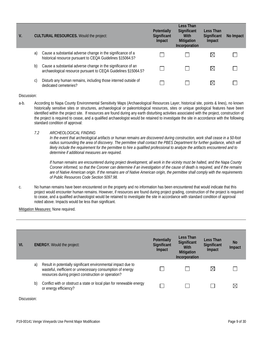| V. |    | <b>CULTURAL RESOURCES. Would the project:</b>                                                                                 | <b>Potentially</b><br><b>Significant</b><br>Impact | Less Than<br><b>Significant</b><br>With<br><b>Mitigation</b><br>Incorporation | Less Than<br><b>Significant</b><br>Impact | No Impact |
|----|----|-------------------------------------------------------------------------------------------------------------------------------|----------------------------------------------------|-------------------------------------------------------------------------------|-------------------------------------------|-----------|
|    | a) | Cause a substantial adverse change in the significance of a<br>historical resource pursuant to CEQA Guidelines §15064.5?      |                                                    |                                                                               | $\boxtimes$                               |           |
|    | b) | Cause a substantial adverse change in the significance of an<br>archaeological resource pursuant to CEQA Guidelines §15064.5? |                                                    |                                                                               | $\boxtimes$                               |           |
|    | C) | Disturb any human remains, including those interred outside of<br>dedicated cemeteries?                                       |                                                    |                                                                               | M                                         |           |

- a-b. According to Napa County Environmental Sensitivity Maps (Archaeological Resources Layer, historical site, points & lines), no known historically sensitive sites or structures, archaeological or paleontological resources, sites or unique geological features have been identified within the project site. If resources are found during any earth disturbing activities associated with the project, construction of the project is required to cease, and a qualified archaeologist would be retained to investigate the site in accordance with the following standard condition of approval:
	- *7.2 ARCHEOLOGICAL FINDING*

*In the event that archeological artifacts or human remains are discovered during construction, work shall cease in a 50-foot*  radius surrounding the area of discovery. The permittee shall contact the PBES Department for further guidance, which will *likely include the requirement for the permittee to hire a qualified professional to analyze the artifacts encountered and to determine if additional measures are required.*

*If human remains are encountered during project development, all work in the vicinity must be halted, and the Napa County Coroner informed, so that the Coroner can determine if an investigation of the cause of death is required, and if the remains are of Native American origin. If the remains are of Native American origin, the permittee shall comply with the requirements of Public Resources Code Section 5097.98.*

c. No human remains have been encountered on the property and no information has been encountered that would indicate that this project would encounter human remains. However, if resources are found during project grading, construction of the project is required to cease, and a qualified archaeologist would be retained to investigate the site in accordance with standard condition of approval noted above. Impacts would be less than significant.

Mitigation Measures: None required.

| VI. |    | <b>ENERGY.</b> Would the project:                                                                                                                                                  | Potentially<br>Significant<br>Impact | Less Than<br>Significant<br>With<br><b>Mitigation</b><br>Incorporation | Less Than<br>Significant<br>Impact | <b>No</b><br>Impact |
|-----|----|------------------------------------------------------------------------------------------------------------------------------------------------------------------------------------|--------------------------------------|------------------------------------------------------------------------|------------------------------------|---------------------|
|     | a) | Result in potentially significant environmental impact due to<br>wasteful, inefficient or unnecessary consumption of energy<br>resources during project construction or operation? |                                      |                                                                        | $\boxtimes$                        |                     |
|     | b) | Conflict with or obstruct a state or local plan for renewable energy<br>or energy efficiency?                                                                                      |                                      |                                                                        |                                    |                     |

Discussion: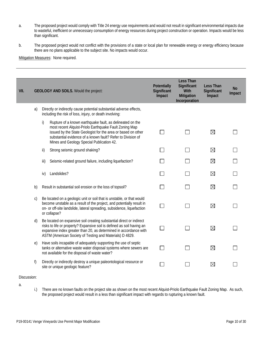- a. The proposed project would comply with Title 24 energy use requirements and would not result in significant environmental impacts due to wasteful, inefficient or unnecessary consumption of energy resources during project construction or operation. Impacts would be less than significant.
- b. The proposed project would not conflict with the provisions of a state or local plan for renewable energy or energy efficiency because there are no plans applicable to the subject site. No impacts would occur.

Mitigation Measures: None required.

| VII. |              | <b>GEOLOGY AND SOILS.</b> Would the project:                                                                                                                                                                                                                                                          | Potentially<br>Significant<br>Impact | <b>Less Than</b><br>Significant<br>With<br>Mitigation<br>Incorporation | <b>Less Than</b><br>Significant<br>Impact | <b>No</b><br>Impact |
|------|--------------|-------------------------------------------------------------------------------------------------------------------------------------------------------------------------------------------------------------------------------------------------------------------------------------------------------|--------------------------------------|------------------------------------------------------------------------|-------------------------------------------|---------------------|
|      | a)           | Directly or indirectly cause potential substantial adverse effects,<br>including the risk of loss, injury, or death involving:                                                                                                                                                                        |                                      |                                                                        |                                           |                     |
|      |              | i)<br>Rupture of a known earthquake fault, as delineated on the<br>most recent Alquist-Priolo Earthquake Fault Zoning Map<br>issued by the State Geologist for the area or based on other<br>substantial evidence of a known fault? Refer to Division of<br>Mines and Geology Special Publication 42. |                                      |                                                                        | $\boxtimes$                               |                     |
|      |              | ii)<br>Strong seismic ground shaking?                                                                                                                                                                                                                                                                 |                                      |                                                                        | $\boxtimes$                               |                     |
|      |              | Seismic-related ground failure, including liquefaction?<br>iii)                                                                                                                                                                                                                                       |                                      |                                                                        | $\boxtimes$                               |                     |
|      |              | Landslides?<br>iv)                                                                                                                                                                                                                                                                                    |                                      |                                                                        | $\boxtimes$                               |                     |
|      | b)           | Result in substantial soil erosion or the loss of topsoil?                                                                                                                                                                                                                                            |                                      |                                                                        | $\boxtimes$                               |                     |
|      | $\mathsf{C}$ | Be located on a geologic unit or soil that is unstable, or that would<br>become unstable as a result of the project, and potentially result in<br>on- or off-site landslide, lateral spreading, subsidence, liquefaction<br>or collapse?                                                              |                                      |                                                                        | $\boxtimes$                               |                     |
|      | d)           | Be located on expansive soil creating substantial direct or indirect<br>risks to life or property? Expansive soil is defined as soil having an<br>expansive index greater than 20, as determined in accordance with<br>ASTM (American Society of Testing and Materials) D 4829.                       |                                      |                                                                        | $\boxtimes$                               |                     |
|      | e)           | Have soils incapable of adequately supporting the use of septic<br>tanks or alternative waste water disposal systems where sewers are<br>not available for the disposal of waste water?                                                                                                               |                                      |                                                                        | $\boxtimes$                               |                     |
|      | f)           | Directly or indirectly destroy a unique paleontological resource or<br>site or unique geologic feature?                                                                                                                                                                                               |                                      |                                                                        | $\boxtimes$                               |                     |

#### Discussion:

a.

i.) There are no known faults on the project site as shown on the most recent Alquist-Priolo Earthquake Fault Zoning Map. As such, the proposed project would result in a less than significant impact with regards to rupturing a known fault.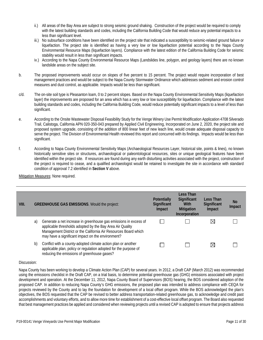- ii.) All areas of the Bay Area are subject to strong seismic ground shaking. Construction of the project would be required to comply with the latest building standards and codes, including the California Building Code that would reduce any potential impacts to a less than significant level.
- iii.) No subsurface conditions have been identified on the project site that indicated a susceptibility to seismic-related ground failure or liquefaction. The project site is identified as having a very low or low liquefaction potential according to the Napa County Environmental Resource Maps (liquefaction layers). Compliance with the latest edition of the California Building Code for seismic stability would result in less than significant impacts.
- iv.) According to the Napa County Environmental Resource Maps (Landslides line, polygon, and geology layers) there are no known landslide areas on the subject site.
- b. The proposed improvements would occur on slopes of five percent to 15 percent. The project would require incorporation of best management practices and would be subject to the Napa County Stormwater Ordinance which addresses sediment and erosion control measures and dust control, as applicable. Impacts would be less than significant.
- c/d. The on-site soil type is Pleasanton loam, 0 to 2 percent slopes. Based on the Napa County Environmental Sensitivity Maps (liquefaction layer) the improvements are proposed for an area which has a very low or low susceptibility for liquefaction. Compliance with the latest building standards and codes, including the California Building Code, would reduce potentially significant impacts to a level of less than significant.
- e. According to the Onsite Wastewater Disposal Feasibility Study for the Venge Winery Use Permit Modification Application 4708 Silverado Trail, Calistoga, California APN 020-350-043 prepared by Applied Civil Engineering, Incorporated on June 2, 2020, the project site and proposed system upgrade, consisting of the addition of 800 linear feet of new leach line, would create adequate disposal capacity to serve the project. The Division of Environmental Health reviewed this report and concurred with its findings. Impacts would be less than significant.
- f. According to Napa County Environmental Sensitivity Maps (Archaeological Resources Layer, historical site, points & lines), no known historically sensitive sites or structures, archaeological or paleontological resources, sites or unique geological features have been identified within the project site. If resources are found during any earth disturbing activities associated with the project, construction of the project is required to cease, and a qualified archaeologist would be retained to investigate the site in accordance with standard condition of approval 7.2 identified in **Section V** above.

Mitigation Measures: None required.

| VIII. |    | <b>GREENHOUSE GAS EMISSIONS. Would the project:</b>                                                                                                                                                                                                   | <b>Potentially</b><br>Significant<br>Impact | Less Than<br>Significant<br><b>With</b><br><b>Mitigation</b><br>Incorporation | Less Than<br>Significant<br>Impact | No.<br>Impact |
|-------|----|-------------------------------------------------------------------------------------------------------------------------------------------------------------------------------------------------------------------------------------------------------|---------------------------------------------|-------------------------------------------------------------------------------|------------------------------------|---------------|
|       | a) | Generate a net increase in greenhouse gas emissions in excess of<br>applicable thresholds adopted by the Bay Area Air Quality<br>Management District or the California Air Resources Board which<br>may have a significant impact on the environment? |                                             |                                                                               | $\boxtimes$                        |               |
|       | b) | Conflict with a county-adopted climate action plan or another<br>applicable plan, policy or regulation adopted for the purpose of<br>reducing the emissions of greenhouse gases?                                                                      |                                             |                                                                               | $\boxtimes$                        |               |

#### Discussion:

Napa County has been working to develop a Climate Action Plan (CAP) for several years. In 2012, a Draft CAP (March 2012) was recommended using the emissions checklist in the Draft CAP, on a trial basis, to determine potential greenhouse gas (GHG) emissions associated with project development and operation. At the December 11, 2012, Napa County Board of Supervisors (BOS) hearing, the BOS considered adoption of the proposed CAP. In addition to reducing Napa County's GHG emissions, the proposed plan was intended to address compliance with CEQA for projects reviewed by the County and to lay the foundation for development of a local offset program. While the BOS acknowledged the plan's objectives, the BOS requested that the CAP be revised to better address transportation-related greenhouse gas, to acknowledge and credit past accomplishments and voluntary efforts, and to allow more time for establishment of a cost-effective local offset program. The Board also requested that best management practices be applied and considered when reviewing projects until a revised CAP is adopted to ensure that projects address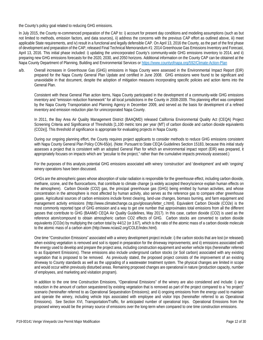the County's policy goal related to reducing GHG emissions.

In July 2015, the County re-commenced preparation of the CAP to: i) account for present day conditions and modeling assumptions (such as but not limited to methods, emission factors, and data sources), ii) address the concerns with the previous CAP effort as outlined above, iii) meet applicable State requirements, and iv) result in a functional and legally defensible CAP. On April 13, 2016 the County, as the part of the first phase of development and preparation of the CAP, released Final Technical Memorandum #1: 2014 Greenhouse Gas Emissions Inventory and Forecast, April 13, 2016. This initial phase included: i) updating the unincorporated County's community-wide GHG emissions inventory to 2014, and ii) preparing new GHG emissions forecasts for the 2020, 2030, and 2050 horizons. Additional information on the County CAP can be obtained at the Napa County Department of Planning, Building and Environmental Services or<https://www.countyofnapa.org/592/Climate-Action-Plan>

a/b. Overall increases in Greenhouse Gas (GHG) emissions in Napa County were assessed in the Environmental Impact Report (EIR) prepared for the Napa County General Plan Update and certified in June 2008. GHG emissions were found to be significant and unavoidable in that document, despite the adoption of mitigation measures incorporating specific policies and action items into the General Plan.

Consistent with these General Plan action items, Napa County participated in the development of a community-wide GHG emissions inventory and "emission reduction framework" for all local jurisdictions in the County in 2008-2009. This planning effort was completed by the Napa County Transportation and Planning Agency in December 2009, and served as the basis for development of a refined inventory and emission reduction plan for unincorporated Napa County.

In 2011, the Bay Area Air Quality Management District (BAAQMD) released California Environmental Quality Act (CEQA) Project Screening Criteria and Significance of Thresholds [1,100 metric tons per year (MT) of carbon dioxide and carbon dioxide equivalents (CO2e)]. This threshold of significance is appropriate for evaluating projects in Napa County.

During our ongoing planning effort, the County requires project applicants to consider methods to reduce GHG emissions consistent with Napa County General Plan Policy CON-65(e). (Note: Pursuant to State CEQA Guidelines Section 15183, because this initial study assesses a project that is consistent with an adopted General Plan for which an environmental impact report (EIR) was prepared, it appropriately focuses on impacts which are "peculiar to the project," rather than the cumulative impacts previously assessed.)

For the purposes of this analysis potential GHG emissions associated with winery 'construction' and 'development' and with 'ongoing' winery operations have been discussed.

GHGs are the atmospheric gases whose absorption of solar radiation is responsible for the greenhouse effect, including carbon dioxide, methane, ozone, and the fluorocarbons, that contribute to climate change (a widely accepted theory/science explain human effects on the atmosphere). Carbon Dioxide (CO2) gas, the principal greenhouse gas (GHG) being emitted by human activities, and whose concentration in the atmosphere is most affected by human activity, also serves as the reference gas to compare other greenhouse gases. Agricultural sources of carbon emissions include forest clearing, land-use changes, biomass burning, and farm equipment and management activity emissions (http://www.climatechange.ca.gov/glossary/letter\_c.html). Equivalent Carbon Dioxide (CO2e) is the most commonly reported type of GHG emission and a way to get one number that approximates total emissions from all the different gasses that contribute to GHG (BAAMD CEQA Air Quality Guidelines, May 2017). In this case, carbon dioxide (CO2) is used as the reference atom/compound to obtain atmospheric carbon CO2 effects of GHG. Carbon stocks are converted to carbon dioxide equivalents (CO2e) by multiplying the carbon total by 44/12 (or 3.67), which is the ratio of the atomic mass of a carbon dioxide molecule to the atomic mass of a carbon atom (http://www.nciasi2.org/COLE/index.html).

One time "Construction Emissions" associated with a winery development project include: i) the carbon stocks that are lost (or released) when existing vegetation is removed and soil is ripped in preparation for the driveway improvements; and ii) emissions associated with the energy used to develop and prepare the project area, including construction equipment and worker vehicle trips (hereinafter referred to as Equipment Emissions). These emissions also include underground carbon stocks (or Soil carbon) associated with any existing vegetation that is proposed to be removed. As previously stated, the proposed project consists of the improvement of an existing driveway to County standards as well as the upgrading of a wastewater treatment system. The physical changes are limited in scope and would occur within previously disturbed areas. Remaining proposed changes are operational in nature (production capacity, number of employees, and marketing and visitation program).

In addition to the one time Construction Emissions, "Operational Emissions" of the winery are also considered and include: i) any reduction in the amount of carbon sequestered by existing vegetation that is removed as part of the project compared to a "no project" scenario (hereinafter referred to as Operational Sequestration Emissions); and ii) ongoing emissions from the energy used to maintain and operate the winery, including vehicle trips associated with employee and visitor trips (hereinafter referred to as Operational Emissions). See Section XVI, Transportation/Traffic, for anticipated number of operational trips. Operational Emissions from the proposed winery would be the primary source of emissions over the long-term when compared to one time construction emissions.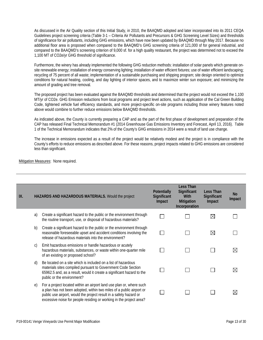As discussed in the Air Quality section of this Initial Study, in 2010, the BAAQMD adopted and later incorporated into its 2011 CEQA Guidelines project screening criteria (Table 3-1 – Criteria Air Pollutants and Precursors & GHG Screening Level Sizes) and thresholds of significance for air pollutants, including GHG emissions, which have now been updated by BAAQMD through May 2017. Because no additional floor area is proposed when compared to the BAAQMD's GHG screening criteria of 121,000 sf for general industrial, and compared to the BAAQMD's screening criterion of 9,000 sf. for a high quality restaurant, the project was determined not to exceed the 1,100 MT of CO2e/yr GHG threshold of significance.

Furthermore, the winery has already implemented the following GHG reduction methods: installation of solar panels which generate onsite renewable energy; installation of energy conserving lighting; installation of water efficient fixtures; use of water efficient landscaping; recycling of 75 percent of all waste; implementation of a sustainable purchasing and shipping program; site design oriented to optimize conditions for natural heating, cooling, and day lighting of interior spaces, and to maximize winter sun exposure; and minimizing the amount of grading and tree removal.

The proposed project has been evaluated against the BAAQMD thresholds and determined that the project would not exceed the 1,100 MT/yr of CO2e. GHG Emission reductions from local programs and project level actions, such as application of the Cal Green Building Code, tightened vehicle fuel efficiency standards, and more project-specific on-site programs including those winery features noted above would combine to further reduce emissions below BAAQMD thresholds.

As indicated above, the County is currently preparing a CAP and as the part of the first phase of development and preparation of the CAP has released Final Technical Memorandum #1 (2014 Greenhouse Gas Emissions Inventory and Forecast, April 13, 2016). Table 1 of the Technical Memorandum indicates that 2% of the County's GHG emissions in 2014 were a result of land use change.

The increase in emissions expected as a result of the project would be relatively modest and the project is in compliance with the County's efforts to reduce emissions as described above. For these reasons, project impacts related to GHG emissions are considered less than significant.

| IX. |               | <b>HAZARDS AND HAZARDOUS MATERIALS. Would the project</b>                                                                                                                                                                                                                                 | Potentially<br>Significant<br>Impact | <b>Less Than</b><br>Significant<br>With<br>Mitigation<br>Incorporation | <b>Less Than</b><br>Significant<br>Impact | <b>No</b><br>Impact |
|-----|---------------|-------------------------------------------------------------------------------------------------------------------------------------------------------------------------------------------------------------------------------------------------------------------------------------------|--------------------------------------|------------------------------------------------------------------------|-------------------------------------------|---------------------|
|     | a)            | Create a significant hazard to the public or the environment through<br>the routine transport, use, or disposal of hazardous materials?                                                                                                                                                   |                                      |                                                                        | $\boxtimes$                               |                     |
|     | b)            | Create a significant hazard to the public or the environment through<br>reasonable foreseeable upset and accident conditions involving the<br>release of hazardous materials into the environment?                                                                                        |                                      |                                                                        | $\boxtimes$                               |                     |
|     | $\mathcal{C}$ | Emit hazardous emissions or handle hazardous or acutely<br>hazardous materials, substances, or waste within one-quarter mile<br>of an existing or proposed school?                                                                                                                        |                                      |                                                                        |                                           | $\boxtimes$         |
|     | $\mathsf{d}$  | Be located on a site which is included on a list of hazardous<br>materials sites compiled pursuant to Government Code Section<br>65962.5 and, as a result, would it create a significant hazard to the<br>public or the environment?                                                      |                                      |                                                                        |                                           | ⊠                   |
|     | e)            | For a project located within an airport land use plan or, where such<br>a plan has not been adopted, within two miles of a public airport or<br>public use airport, would the project result in a safety hazard or<br>excessive noise for people residing or working in the project area? |                                      |                                                                        |                                           | ⋉                   |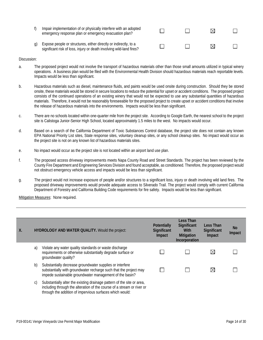f) Impair implementation of or physically interfere with an adopted  $\Box$  $\Box$  $\boxtimes$  $\Box$ emergency response plan or emergency evacuation plan? g) Expose people or structures, either directly or indirectly, to a  $\Box$ П ⊠ П significant risk of loss, injury or death involving wild-land fires?

#### Discussion:

- a. The proposed project would not involve the transport of hazardous materials other than those small amounts utilized in typical winery operations. A business plan would be filed with the Environmental Health Division should hazardous materials reach reportable levels. Impacts would be less than significant.
- b. Hazardous materials such as diesel, maintenance fluids, and paints would be used onsite during construction. Should they be stored onsite, these materials would be stored in secure locations to reduce the potential for upset or accident conditions. The proposed project consists of the continued operations of an existing winery that would not be expected to use any substantial quantities of hazardous materials. Therefore, it would not be reasonably foreseeable for the proposed project to create upset or accident conditions that involve the release of hazardous materials into the environments. Impacts would be less than significant.
- c. There are no schools located within one-quarter mile from the project site. According to Google Earth, the nearest school to the project site is Calistoga Junior-Senior High School, located approximately 1.5 miles to the west. No impacts would occur.
- d. Based on a search of the California Department of Toxic Substances Control database, the project site does not contain any known EPA National Priority List sites, State response sites, voluntary cleanup sites, or any school cleanup sites. No impact would occur as the project site is not on any known list of hazardous materials sites.
- e. No impact would occur as the project site is not located within an airport land use plan.
- f. The proposed access driveway improvements meets Napa County Road and Street Standards. The project has been reviewed by the County Fire Department and Engineering Services Division and found acceptable, as conditioned. Therefore, the proposed project would not obstruct emergency vehicle access and impacts would be less than significant.
- g. The project would not increase exposure of people and/or structures to a significant loss, injury or death involving wild land fires. The proposed driveway improvements would provide adequate access to Silverado Trail. The project would comply with current California Department of Forestry and California Building Code requirements for fire safety. Impacts would be less than significant.

| Χ. |    | HYDROLOGY AND WATER QUALITY. Would the project:                                                                                                                                                              | Potentially<br>Significant<br>Impact | Less Than<br>Significant<br>With<br><b>Mitigation</b><br>Incorporation | Less Than<br><b>Significant</b><br>Impact | <b>No</b><br>Impact |
|----|----|--------------------------------------------------------------------------------------------------------------------------------------------------------------------------------------------------------------|--------------------------------------|------------------------------------------------------------------------|-------------------------------------------|---------------------|
|    | a) | Violate any water quality standards or waste discharge<br>requirements or otherwise substantially degrade surface or<br>groundwater quality?                                                                 |                                      |                                                                        | $\boxtimes$                               |                     |
|    | b) | Substantially decrease groundwater supplies or interfere<br>substantially with groundwater recharge such that the project may<br>impede sustainable groundwater management of the basin?                     |                                      |                                                                        | $\boxtimes$                               |                     |
|    | C) | Substantially alter the existing drainage pattern of the site or area,<br>including through the alteration of the course of a stream or river or<br>through the addition of impervious surfaces which would: |                                      |                                                                        |                                           |                     |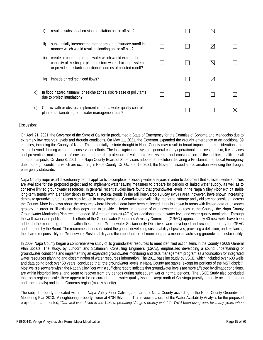|    |      | result in substantial erosion or siltation on- or off-site?                                                                                                                              |  |    |  |
|----|------|------------------------------------------------------------------------------------------------------------------------------------------------------------------------------------------|--|----|--|
|    | ii)  | substantially increase the rate or amount of surface runoff in a<br>manner which would result in flooding on- or off-site?                                                               |  | ⋉  |  |
|    | iii) | create or contribute runoff water which would exceed the<br>capacity of existing or planned stormwater drainage systems<br>or provide substantial additional sources of polluted runoff? |  | ⋉  |  |
|    | IV)  | impede or redirect flood flows?                                                                                                                                                          |  | IX |  |
| d) |      | In flood hazard, tsunami, or seiche zones, risk release of pollutants<br>due to project inundation?                                                                                      |  |    |  |
| e) |      | Conflict with or obstruct implementation of a water quality control<br>plan or sustainable groundwater management plan?                                                                  |  |    |  |

On April 21, 2021, the Governor of the State of California proclaimed a State of Emergency for the Counties of Sonoma and Mendocino due to extremely low reservoir levels and drought conditions. On May 11, 2021, the Governor expanded the drought emergency to an additional 39 counties, including the County of Napa. This potentially historic drought in Napa County may result in broad impacts and considerations that extend beyond drinking water and conservation efforts. The local agricultural system, general county operational practices, tourism, fire services and prevention, maintenance of environmental health, protection of vulnerable ecosystems, and consideration of the public's health are all important aspects. On June 8, 2021, the Napa County Board of Supervisors adopted a resolution declaring a Proclamation of Local Emergency due to drought conditions which are occurring in Napa County. On October 19, 2021, the Governor issued a proclamation extending the drought emergency statewide.

Napa County requires all discretionary permit applicants to complete necessary water analyses in order to document that sufficient water supplies are available for the proposed project and to implement water saving measures to prepare for periods of limited water supply, as well as to conserve limited groundwater resources. In general, recent studies have found that groundwater levels in the Napa Valley Floor exhibit stable long-term trends with a shallow depth to water. Historical trends in the Milliken-Sarco-Tulucay (MST) area, however, have shown increasing depths to groundwater, but recent stabilization in many locations. Groundwater availability, recharge, storage and yield are not consistent across the County. More is known about the resource where historical data have been collected. Less is known in areas with limited data or unknown geology. In order to fill existing data gaps and to provide a better understand of groundwater resources in the County, the Napa County Groundwater Monitoring Plan recommended 18 Areas of Interest (AOIs) for additional groundwater level and water quality monitoring. Through the well owner and public outreach efforts of the Groundwater Resources Advisory Committee (GRAC,) approximately 40 new wells have been added to the monitoring program within these areas. Groundwater Sustainability Objectives were developed and recommended by the GRAC and adopted by the Board. The recommendations included the goal of developing sustainability objectives, providing a definition, and explaining the shared responsibility for Groundwater Sustainability and the important role of monitoring as a means to achieving groundwater sustainability.

In 2009, Napa County began a comprehensive study of its groundwater resources to meet identified action items in the County's 2008 General Plan update. The study, by Luhdorff and Scalmanini Consulting Engineers (LSCE), emphasized developing a sound understanding of groundwater conditions and implementing an expanded groundwater monitoring and data management program as a foundation for integrated water resources planning and dissemination of water resources information. The 2011 baseline study by LSCE, which included over 600 wells and data going back over 50 years, concluded that "the groundwater levels in Napa County are stable, except for portions of the MST district". Most wells elsewhere within the Napa Valley floor with a sufficient record indicate that groundwater levels are more affected by climatic conditions, are within historical levels, and seem to recover from dry periods during subsequent wet or normal periods. The LSCE Study also concluded that, on a regional scale, there appear to be no current groundwater quality issues except north of Calistoga (mostly naturally occurring boron and trace metals) and in the Carneros region (mostly salinity).

The subject property is located within the Napa Valley Floor Calistoga subarea of Napa County according to the Napa County Groundwater Monitoring Plan 2013. A neighboring property owner at 4704 Silverado Trail reviewed a draft of the Water Availability Analysis for the proposed project and commented, "*Our well was drilled in the 1980's, predating Venge's nearby well #2. We'd been using ours for many years when*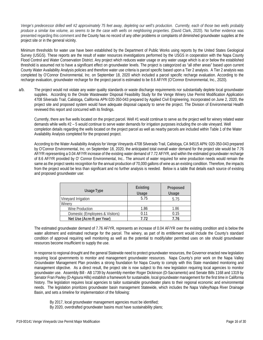*Venge's predecessor drilled well #2 approximately 75 feet away, depleting our well's production. Currently, each of those two wells probably produce a similar low volume, as seems to be the case with wells on neighboring properties.* (David Clark, 2020). No further evidence was presented regarding this comment and the County has no record of any other problems or complaints of diminished groundwater supplies at the project site or in the general vicinity.

Minimum thresholds for water use have been established by the Department of Public Works using reports by the United States Geological Survey (USGS). These reports are the result of water resources investigations performed by the USGS in cooperation with the Napa County Flood Control and Water Conservation District. Any project which reduces water usage or any water usage which is at or below the established threshold is assumed not to have a significant effect on groundwater levels. The project is categorized as "all other areas" based upon current County Water Availability Analysis policies and therefore water use criteria is parcel specific based upon a Tier 2 analysis. A Tier 2 analysis was completed by O'Connor Environmental, Inc. on September 18, 2020 which included a parcel specific recharge evaluation. According to the recharge evaluation, groundwater recharge for the project parcel is estimated to be 8.6 AF/YR (O'Connor Environmental, Inc., 2020).

a/b. The project would not violate any water quality standards or waste discharge requirements nor substantially deplete local groundwater supplies. According to the Onsite Wastewater Disposal Feasibility Study for the Venge Winery Use Permit Modification Application 4708 Silverado Trail, Calistoga, California APN 020-350-043 prepared by Applied Civil Engineering, Incorporated on June 2, 2020, the project site and proposed system would have adequate disposal capacity to serve the project. The Division of Environmental Health reviewed this report and concurred with its findings.

Currently, there are five wells located on the project parcel. Well #1 would continue to serve as the project well for winery related water demands while wells #2 – 5 would continue to serve water demands for irrigation purposes including the on-site vineyard. Well completion details regarding the wells located on the project parcel as well as nearby parcels are included within Table 1 of the Water Availability Analysis completed for the proposed project.

According to the Water Availability Analysis for Venge Vineyards 4708 Silverado Trail, Calistoga, CA 94515 APN: 020-350-043 prepared by O'Connor Environmental, Inc. on September 18, 2020, the anticipated total overall water demand for the project site would be 7.76 AF/YR representing a 0.04 AF/YR increase of the existing water demand of 7.72 AF/YR, and within the estimated groundwater recharge of 8.6 AF/YR provided by O' Connor Environmental, Inc.. The amount of water required for wine production needs would remain the same as the project seeks recognition for the annual production of 70,000 gallons of wine as an existing condition. Therefore, the impacts from the project would be less than significant and no further analysis is needed. Below is a table that details each source of existing and proposed groundwater use:

| <b>Usage Type</b>               | <b>Existing</b><br>Usage | Proposed<br>Usage |
|---------------------------------|--------------------------|-------------------|
| Vineyard Irrigation             | 5.75                     | 5.75              |
| Winery                          |                          |                   |
| Wine Production                 | 1.86                     | 1.86              |
| Domestic (Employees & Visitors) | 0.11                     | 0.15              |
| Net Use (Acre-ft per Year)      | 7 72                     | 7 76              |

The estimated groundwater demand of 7.76 AF/YR, represents an increase of 0.04 AF/YR over the existing condition and is below the water allotment and estimated recharge for the parcel. The winery, as part of its entitlement would include the County's standard condition of approval requiring well monitoring as well as the potential to modify/alter permitted uses on site should groundwater resources become insufficient to supply the use.

In response to regional drought and the general Statewide need to protect groundwater resources, the Governor enacted new legislation requiring local governments to monitor and management groundwater resources. Napa County's prior work on the Napa Valley Groundwater Management Plan provides a strong foundation for Napa County to comply with this State mandated monitoring and management objective. As a direct result, the project site is now subject to this new legislation requiring local agencies to monitor groundwater use. Assembly Bill - AB 1739 by Assembly member Roger Dickinson (D-Sacramento) and Senate Bills 1168 and 1319 by Senator Fran Pavley (D-Agoura Hills) establish a framework for sustainable, local groundwater management for the first time in California history. The legislation requires local agencies to tailor sustainable groundwater plans to their regional economic and environmental needs. The legislation prioritizes groundwater basin management Statewide, which includes the Napa Valley/Napa River Drainage Basin, and sets a timeline for implementation of the following:

- By 2017, local groundwater management agencies must be identified;
- By 2020, overdrafted groundwater basins must have sustainability plans;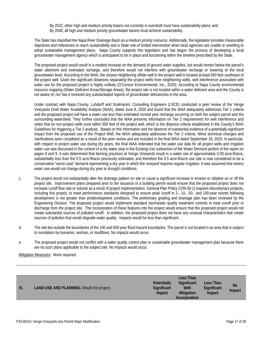By 2022, other high and medium priority basins not currently in overdraft must have sustainability plans; and By 2040, all high and medium priority groundwater basins must achieve sustainability.

The State has classified the Napa River Drainage Basin as a medium priority resource. Additionally, the legislation provides measurable objectives and milestones to reach sustainability and a State role of limited intervention when local agencies are unable or unwilling to adopt sustainable management plans. Napa County supports this legislation and has begun the process of developing a local groundwater management agency which is anticipated to be in place and functioning within the timeline prescribed by the State.

The proposed project would result in a modest increase on the demand of ground water supplies, but would remain below the parcel's water allotment and estimated recharge, and therefore would not interfere with groundwater recharge or lowering of the local groundwater level. According to the WAA, the closest neighboring offsite well to the project well is located at least 650 feet southeast of the project well. Given the significant distances separating the project wells from neighboring wells, well interference associated with water use for the proposed project is highly unlikely (O'Connor Environmental, Inc., 2020). According to Napa County environmental resource mapping (*Water Deficient Areas/Storage Areas*), the project site is not located within a water deficient area and the County is not aware of, nor has it received any substantiated reports of groundwater deficiencies in the area.

Under contract with Napa County, Luhdorff and Scalmanini, Consulting Engineers (LSCE) conducted a peer review of the Venge Vineyards Draft Water Availability Analysis (WAA), dated June 8, 2020 and found that the WAA adequately addresses Tier 1 criteria and the proposed project will have a water use less than estimated normal year recharge occurring on both the subject parcel and the surrounding watershed. They further concluded that the WAA presents information on Tier 2 requirements for well interference and notes that no non-project wells exist within 500 feet of the project well, which is the distance criteria established in the County's WAA Guidelines for triggering a Tier 2 analysis . Based on this information and the absence of substantial evidence of a potentially significant impact from the proposed use of the Project Well, the WAA adequately addresses the Tier 2 criteria. Minor technical changes and clarifications were completed as a result of the peer review and are included in the final WAA dated September 18, 2020. In particular, with respect to project water use during dry years, the final WAA reiterated that the water use data for all project wells and irrigation water use was discussed in the context of a dry water year in the Existing Use subsection of the Water Demand portion of the report on pages 8 and 9. It was determined that farming practices at Venge Vineyards result in a water use of approximately 0.09 acre-ft/acre, substantially less than the 0.5 acre-ft/acre previously estimated, and therefore the 0.5 acre-ft/acre use rate is now considered to be a conservative "worst-case" demand representing a dry year in which the vineyard requires regular irrigation. It was assumed that winery water use would not change during dry year or drought conditions.

- c. The project would not substantially alter the drainage pattern on site or cause a significant increase in erosion or siltation on or off the project site. Improvement plans prepared prior to the issuance of a building permit would ensure that the proposed project does not increase runoff flow rate or volume as a result of project implementation. General Plan Policy CON-50 c) requires discretionary projects, including this project, to meet performance standards designed to ensure peak runoff in 2-, 10-, 50-, and 100-year events following development is not greater than predevelopment conditions. The preliminary grading and drainage plan has been reviewed by the Engineering Division. The proposed project would implement standard stormwater quality treatment controls to treat runoff prior to discharge from the project site. The incorporation of these features into the project would ensure that the proposed project would not create substantial sources of polluted runoff. In addition, the proposed project does not have any unusual characteristics that create sources of pollution that would degrade water quality. Impacts would be less than significant.
- d. The site lies outside the boundaries of the 100 and 500 year flood hazard boundaries. The parcel is not located in an area that is subject to inundation by tsunamis, seiches, or mudflows. No impacts would occur.
- e. The proposed project would not conflict with a water quality control plan or sustainable groundwater management plan because there are no such plans applicable to the subject site. No impacts would occur.

|     |                                                  |                    | Less Than          |                    |        |
|-----|--------------------------------------------------|--------------------|--------------------|--------------------|--------|
|     |                                                  | <b>Potentially</b> | <b>Significant</b> | Less Than          |        |
| XI. | <b>LAND USE AND PLANNING. Would the project:</b> | Significant        | With               | <b>Significant</b> | No     |
|     |                                                  | Impact             | <b>Mitigation</b>  | Impact             | Impact |
|     |                                                  |                    | Incorporation      |                    |        |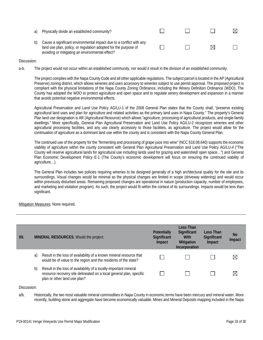| Physically divide an established community?                                                                                                                                               |  | M. |
|-------------------------------------------------------------------------------------------------------------------------------------------------------------------------------------------|--|----|
| Cause a significant environmental impact due to a conflict with any<br>land use plan, policy, or regulation adopted for the purpose of<br>avoiding or mitigating an environmental effect? |  |    |

a-b. The project would not occur within an established community, nor would it result in the division of an established community.

The project complies with the Napa County Code and all other applicable regulations. The subject parcel is located in the AP (Agricultural Preserve) zoning district, which allows wineries and uses accessory to wineries subject to use permit approval. The proposed project is compliant with the physical limitations of the Napa County Zoning Ordinance, including the Winery Definition Ordinance (WDO). The County has adopted the WDO to protect agriculture and open space and to regulate winery development and expansion in a manner that avoids potential negative environmental effects.

Agricultural Preservation and Land Use Policy AG/LU-1 of the 2008 General Plan states that the County shall, "preserve existing agricultural land uses and plan for agriculture and related activities as the primary land uses in Napa County." The property's General Plan land use designation is AR (Agricultural Resource) which allows "agriculture, processing of agricultural products, and single-family dwellings." More specifically, General Plan Agricultural Preservation and Land Use Policy AG/LU-2 recognizes wineries and other agricultural processing facilities, and any use clearly accessory to those facilities, as agriculture. The project would allow for the continuation of agriculture as a dominant land use within the county and is consistent with the Napa County General Plan.

The continued use of the property for the "fermenting and processing of grape juice into wine" (NCC §18.08.640) supports the economic viability of agriculture within the county consistent with General Plan Agricultural Preservation and Land Use Policy AG/LU-4 ("The County will reserve agricultural lands for agricultural use including lands used for grazing and watershed/ open space…") and General Plan Economic Development Policy E-1 (The County's economic development will focus on ensuring the continued viability of agriculture…).

The General Plan includes two policies requiring wineries to be designed generally of a high architectural quality for the site and its surroundings. Visual changes would be minimal as the physical changes are limited in scope (driveway widening) and would occur within previously disturbed areas. Remaining proposed changes are operational in nature (production capacity, number of employees, and marketing and visitation program). As such, the project would fit within the context of its surroundings. Impacts would be less than significant.

Mitigation Measures: None required.

| XII. |    | <b>MINERAL RESOURCES. Would the project:</b>                                                                                                                             | <b>Potentially</b><br>Significant<br>Impact | Less Than<br>Significant<br>With<br><b>Mitigation</b><br>Incorporation | Less Than<br>Significant<br>Impact | No<br>Impact |
|------|----|--------------------------------------------------------------------------------------------------------------------------------------------------------------------------|---------------------------------------------|------------------------------------------------------------------------|------------------------------------|--------------|
|      | a) | Result in the loss of availability of a known mineral resource that<br>would be of value to the region and the residents of the state?                                   |                                             |                                                                        |                                    | ⊠            |
|      | b) | Result in the loss of availability of a locally-important mineral<br>resource recovery site delineated on a local general plan, specific<br>plan or other land use plan? |                                             |                                                                        |                                    | ⋈            |

Discussion:

a/b. Historically, the two most valuable mineral commodities in Napa County in economic terms have been mercury and mineral water. More recently, building stone and aggregate have become economically valuable. Mines and Mineral Deposits mapping included in the Napa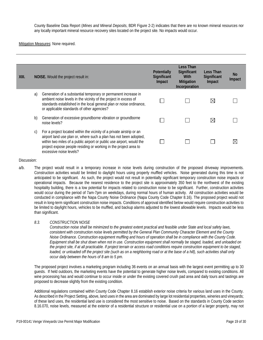County Baseline Data Report (*Mines and Mineral Deposits*, BDR Figure 2-2) indicates that there are no known mineral resources nor any locally important mineral resource recovery sites located on the project site. No impacts would occur.

Mitigation Measures: None required.

| XIII. |    | NOISE. Would the project result in:                                                                                                                                                                                                                                                                                | Potentially<br>Significant<br>Impact | Less Than<br>Significant<br>With<br><b>Mitigation</b><br>Incorporation | Less Than<br>Significant<br>Impact | No.<br>Impact |
|-------|----|--------------------------------------------------------------------------------------------------------------------------------------------------------------------------------------------------------------------------------------------------------------------------------------------------------------------|--------------------------------------|------------------------------------------------------------------------|------------------------------------|---------------|
|       | a) | Generation of a substantial temporary or permanent increase in<br>ambient noise levels in the vicinity of the project in excess of<br>standards established in the local general plan or noise ordinance,<br>or applicable standards of other agencies?                                                            |                                      |                                                                        | $\boxtimes$                        |               |
|       | b) | Generation of excessive groundborne vibration or groundborne<br>noise levels?                                                                                                                                                                                                                                      |                                      |                                                                        | $\boxtimes$                        |               |
|       | C) | For a project located within the vicinity of a private airstrip or an<br>airport land use plan or, where such a plan has not been adopted,<br>within two miles of a public airport or public use airport, would the<br>project expose people residing or working in the project area to<br>excessive noise levels? |                                      |                                                                        |                                    |               |

#### Discussion:

- a/b. The project would result in a temporary increase in noise levels during construction of the proposed driveway improvements. Construction activities would be limited to daylight hours using properly muffled vehicles. Noise generated during this time is not anticipated to be significant. As such, the project would not result in potentially significant temporary construction noise impacts or operational impacts. Because the nearest residence to the project site is approximately 350 feet to the northwest of the existing hospitality building, there is a low potential for impacts related to construction noise to be significant. Further, construction activities would occur during the period of 7am-7pm on weekdays, during normal hours of human activity. All construction activities would be conducted in compliance with the Napa County Noise Ordinance (Napa County Code Chapter 8.16). The proposed project would not result in long-term significant construction noise impacts. Conditions of approval identified below would require construction activities to be limited to daylight hours, vehicles to be muffled, and backup alarms adjusted to the lowest allowable levels. Impacts would be less than significant.
	- *8.3. CONSTRUCTION NOISE*

*Construction noise shall be minimized to the greatest extent practical and feasible under State and local safety laws, consistent with construction noise levels permitted by the General Plan Community Character Element and the County Noise Ordinance. Construction equipment muffling and hours of operation shall be in compliance with the County Code. Equipment shall be shut down when not in use. Construction equipment shall normally be staged, loaded, and unloaded on the project site, if at all practicable. If project terrain or access road conditions require construction equipment to be staged, loaded, or unloaded off the project site (such as on a neighboring road or at the base of a hill), such activities shall only occur daily between the hours of 8 am to 5 pm.* 

The proposed project involves a marketing program including 36 events on an annual basis with the largest event permitting up to 30 guests. If held outdoors, the marketing events have the potential to generate higher noise levels, compared to existing conditions. All wine processing has and would continue to occur inside or under the existing covered crush pad area and daily tours and tastings are proposed to decrease slightly from the existing condition.

Additional regulations contained within County Code Chapter 8.16 establish exterior noise criteria for various land uses in the County. As described in the Project Setting, above, land uses in the area are dominated by large lot residential properties, wineries and vineyards; of these land uses, the residential land use is considered the most sensitive to noise. Based on the standards in County Code section 8.16.070, noise levels, measured at the exterior of a residential structure or residential use on a portion of a larger property, may not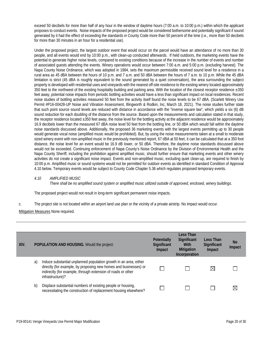exceed 50 decibels for more than half of any hour in the window of daytime hours (7:00 a.m. to 10:00 p.m.) within which the applicant proposes to conduct events. Noise impacts of the proposed project would be considered bothersome and potentially significant if sound generated by it had the effect of exceeding the standards in County Code more than 50 percent of the time (i.e., more than 50 decibels for more than 30 minutes in an hour for a residential use).

Under the proposed project, the largest outdoor event that would occur on the parcel would have an attendance of no more than 30 people, and all events would end by 10:00 p.m., with clean-up conducted afterwards. If held outdoors, the marketing events have the potential to generate higher noise levels, compared to existing conditions because of the increase in the number of events and number of associated guests attending the events. Winery operations would occur between 7:00 a.m. and 5:00 p.m. (excluding harvest). The Napa County Noise Ordinance, which was adopted in 1984, sets the maximum permissible received sound level for a residence in a rural area as 45 dBA between the hours of 10 p.m. and 7 a.m. and 50 dBA between the hours of 7 a.m. to 10 p.m. While the 45 dBA limitation is strict (45 dBA is roughly equivalent to the sound generated by a quiet conversation), the area surrounding the subject property is developed with residential uses and vineyards with the nearest off-site residence to the existing winery located approximately 350 feet to the northwest of the existing hospitality building and parking area. With the location of the closest receptor residence  $\pm 350$ feet away, potential noise impacts from periodic bottling activities would have a less than significant impact on local residences. Recent noise studies of bottling activities measured 50 feet from the activity itself found the noise levels to be 67 dBA. (Scarlett Winery Use Permit #P16-00428-UP Noise and Vibration Assessment, Illingworth & Rodkin, Inc, March 18, 2021). The noise studies further state that such point source sound levels are reduced with distance in accordance with the "inverse square law", which yields a six (6) dB sound reduction for each doubling of the distance from the source. Based upon the measurements and calculation stated in that study, the receptor residence located ±350 feet away, the noise level for the bottling activity at the adjacent residence would be approximately 16.9 decibels lower than the measured 67 dBA noise level 50 feet from the bottling line, or 50 dBA which would fall within the daytime noise standards discussed above. Additionally, the proposed 36 marketing events with the largest events permitting up to 30 people would generate vocal noise (amplified music would be prohibited). But, by using the noise measurements taken at a small to moderate sized winery event with non-amplified music in the previously mentioned report, 67 dBA at 50 feet, it can be calculated that at a 350 foot distance, the noise level for an event would be 16.9 dB lower, or 50 dBA. Therefore, the daytime noise standards discussed above would not be exceeded. Continuing enforcement of Napa County's Noise Ordinance by the Division of Environmental Health and the Napa County Sheriff, including the prohibition against amplified music, should further ensure that marketing events and other winery activities do not create a significant noise impact. Events and non-amplified music, excluding quiet clean-up, are required to finish by 10:00 p.m. Amplified music or sound systems would not be permitted for outdoor events as identified in standard Condition of Approval 4.10 below. Temporary events would be subject to County Code Chapter 5.36 which regulates proposed temporary events.

#### *4.10 AMPLIFIED MUSIC*

*There shall be no amplified sound system or amplified music utilized outside of approved, enclosed, winery buildings.*

The proposed project would not result in long-term significant permanent noise impacts.

c. The project site is not located within an airport land use plan or the vicinity of a private airstrip. No impact would occur.

| XIV. |    | POPULATION AND HOUSING. Would the project:                                                                                                                                                                                | <b>Potentially</b><br>Significant<br>Impact | Less Than<br>Significant<br>With<br><b>Mitigation</b><br>Incorporation | Less Than<br>Significant<br>Impact | <b>No</b><br>Impact |
|------|----|---------------------------------------------------------------------------------------------------------------------------------------------------------------------------------------------------------------------------|---------------------------------------------|------------------------------------------------------------------------|------------------------------------|---------------------|
|      | a) | Induce substantial unplanned population growth in an area, either<br>directly (for example, by proposing new homes and businesses) or<br>indirectly (for example, through extension of roads or other<br>infrastructure)? |                                             |                                                                        | $\boxtimes$                        |                     |
|      | b) | Displace substantial numbers of existing people or housing,<br>necessitating the construction of replacement housing elsewhere?                                                                                           |                                             |                                                                        |                                    | $\boxtimes$         |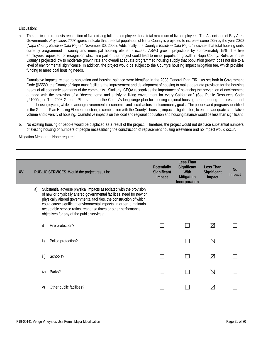a. The application requests recognition of five existing full-time employees for a total maximum of five employees. The Association of Bay Area Governments' *Projections 2003* figures indicate that the total population of Napa County is projected to increase some 23% by the year 2030 (*Napa County Baseline Data Report,* November 30, 2005). Additionally, the County's *Baseline Data Report* indicates that total housing units currently programmed in county and municipal housing elements exceed ABAG growth projections by approximately 15%. The five employees requested for recognition which are part of this project could lead to minor population growth in Napa County. Relative to the County's projected low to moderate growth rate and overall adequate programmed housing supply that population growth does not rise to a level of environmental significance. In addition, the project would be subject to the County's housing impact mitigation fee, which provides funding to meet local housing needs.

Cumulative impacts related to population and housing balance were identified in the 2008 General Plan EIR. As set forth in Government Code §65580, the County of Napa must facilitate the improvement and development of housing to make adequate provision for the housing needs of all economic segments of the community. Similarly, CEQA recognizes the importance of balancing the prevention of environment damage with the provision of a "decent home and satisfying living environment for every Californian." (See Public Resources Code §21000(g).) The 2008 General Plan sets forth the County's long-range plan for meeting regional housing needs, during the present and future housing cycles, while balancing environmental, economic, and fiscal factors and community goals. The policies and programs identified in the General Plan Housing Element function, in combination with the County's housing impact mitigation fee, to ensure adequate cumulative volume and diversity of housing. Cumulative impacts on the local and regional population and housing balance would be less than significant.

b. No existing housing or people would be displaced as a result of the project. Therefore, the project would not displace substantial numbers of existing housing or numbers of people necessitating the construction of replacement housing elsewhere and no impact would occur.

| XV. |    |               | PUBLIC SERVICES. Would the project result in:                                                                                                                                                                                                                                                                                                                                                               | Potentially<br>Significant<br>Impact | Less Than<br>Significant<br>With<br>Mitigation<br>Incorporation | Less Than<br>Significant<br>Impact | <b>No</b><br>Impact |
|-----|----|---------------|-------------------------------------------------------------------------------------------------------------------------------------------------------------------------------------------------------------------------------------------------------------------------------------------------------------------------------------------------------------------------------------------------------------|--------------------------------------|-----------------------------------------------------------------|------------------------------------|---------------------|
|     | a) |               | Substantial adverse physical impacts associated with the provision<br>of new or physically altered governmental facilities, need for new or<br>physically altered governmental facilities, the construction of which<br>could cause significant environmental impacts, in order to maintain<br>acceptable service ratios, response times or other performance<br>objectives for any of the public services: |                                      |                                                                 |                                    |                     |
|     |    | i)            | Fire protection?                                                                                                                                                                                                                                                                                                                                                                                            |                                      |                                                                 | $\boxtimes$                        |                     |
|     |    | $\mathsf{ii}$ | Police protection?                                                                                                                                                                                                                                                                                                                                                                                          |                                      |                                                                 | $\boxtimes$                        |                     |
|     |    | iii)          | Schools?                                                                                                                                                                                                                                                                                                                                                                                                    |                                      |                                                                 | $\boxtimes$                        |                     |
|     |    | iv)           | Parks?                                                                                                                                                                                                                                                                                                                                                                                                      |                                      |                                                                 | $\boxtimes$                        |                     |
|     |    | V)            | Other public facilities?                                                                                                                                                                                                                                                                                                                                                                                    |                                      |                                                                 | $\boxtimes$                        |                     |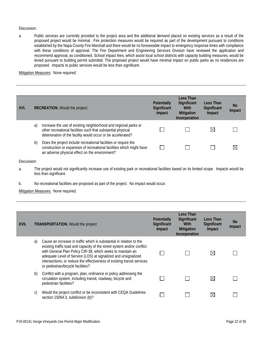a. Public services are currently provided to the project area and the additional demand placed on existing services as a result of the proposed project would be minimal. Fire protection measures would be required as part of the development pursuant to conditions established by the Napa County Fire Marshall and there would be no foreseeable impact to emergency response times with compliance with these conditions of approval. The Fire Department and Engineering Services Division have reviewed the application and recommend approval, as conditioned. School impact fees, which assist local school districts with capacity building measures, would be levied pursuant to building permit submittal. The proposed project would have minimal impact on public parks as no residences are proposed. Impacts to public services would be less than significant.

**Mitigation Measures: None required.** 

| XVI. |    | <b>RECREATION.</b> Would the project:                                                                                                                                                           | <b>Potentially</b><br>Significant<br>Impact | Less Than<br>Significant<br>With<br><b>Mitigation</b><br>Incorporation | Less Than<br>Significant<br>Impact | No.<br>Impact |
|------|----|-------------------------------------------------------------------------------------------------------------------------------------------------------------------------------------------------|---------------------------------------------|------------------------------------------------------------------------|------------------------------------|---------------|
|      | a) | Increase the use of existing neighborhood and regional parks or<br>other recreational facilities such that substantial physical<br>deterioration of the facility would occur or be accelerated? |                                             |                                                                        | $\boxtimes$                        |               |
|      | b) | Does the project include recreational facilities or require the<br>construction or expansion of recreational facilities which might have<br>an adverse physical effect on the environment?      |                                             |                                                                        |                                    | M             |

Discussion:

- a. The project would not significantly increase use of existing park or recreational facilities based on its limited scope. Impacts would be less than significant.
- b. No recreational facilities are proposed as part of the project. No impact would occur.

| XVII. |    | <b>TRANSPORTATION.</b> Would the project:                                                                                                                                                                                                                                                                                                                                                        | <b>Potentially</b><br>Significant<br>Impact | Less Than<br>Significant<br>With<br><b>Mitigation</b><br>Incorporation | Less Than<br>Significant<br>Impact | No.<br>Impact |
|-------|----|--------------------------------------------------------------------------------------------------------------------------------------------------------------------------------------------------------------------------------------------------------------------------------------------------------------------------------------------------------------------------------------------------|---------------------------------------------|------------------------------------------------------------------------|------------------------------------|---------------|
|       | a) | Cause an increase in traffic which is substantial in relation to the<br>existing traffic load and capacity of the street system and/or conflict<br>with General Plan Policy CIR-38, which seeks to maintain an<br>adequate Level of Service (LOS) at signalized and unsignalized<br>intersections, or reduce the effectiveness of existing transit services<br>or pedestrian/bicycle facilities? |                                             |                                                                        | $\boxtimes$                        |               |
|       | b) | Conflict with a program, plan, ordinance or policy addressing the<br>circulation system, including transit, roadway, bicycle and<br>pedestrian facilities?                                                                                                                                                                                                                                       |                                             |                                                                        | $\boxtimes$                        |               |
|       | C) | Would the project conflict or be inconsistent with CEQA Guidelines<br>section 15064.3, subdivision (b)?                                                                                                                                                                                                                                                                                          |                                             |                                                                        | $\boxtimes$                        |               |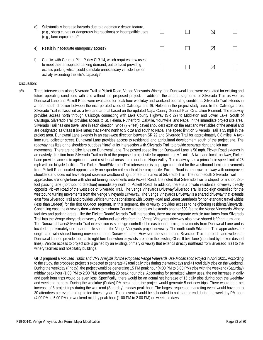| d) | Substantially increase hazards due to a geometric design feature,<br>(e.g., sharp curves or dangerous intersections) or incompatible uses<br>(e.g., farm equipment)?                                       |  |  |
|----|------------------------------------------------------------------------------------------------------------------------------------------------------------------------------------------------------------|--|--|
| e) | Result in inadequate emergency access?                                                                                                                                                                     |  |  |
| f) | Conflict with General Plan Policy CIR-14, which requires new uses<br>to meet their anticipated parking demand, but to avoid providing<br>excess parking which could stimulate unnecessary vehicle trips or |  |  |

activity exceeding the site's capacity?

a/b. Three intersections along Silverado Trail at Pickett Road, Venge Vineyards Winery, and Dunaweal Lane were evaluated for existing and future operating conditions with and without the proposed project. In addition, the arterial segments of Silverado Trail as well as Dunaweal Lane and Pickett Road were evaluated for peak hour weekday and weekend operating conditions. Silverado Trail extends in a north-south direction between the incorporated cities of Calistoga and St. Helena in the project study area. In the Calistoga area, Silverado Trail is classified as a two lane arterial based on the updated Napa County General Plan Circulation Element. The roadway provides access north through Calistoga connecting with Lake County Highway (SR 29) to Middleton and Lower Lake. South of Calistoga, Silverado Trail provides access to St. Helena, Rutherford, Oakville, Yountville, and Napa. In the immediate project site area, Silverado Trail has one travel lane in each direction. Wide (7-9 feet) paved shoulders exist on the east and west sides of the arterial and are designated as Class II bike lanes that extend north to SR 29 and south to Napa. The speed limit on Silverado Trail is 55 mph in the project area. Dunaweal Lane extends in an east-west direction between SR 29 and Silverado Trail for approximately 0.8 miles. A twolane rural collector street, Dunaweal Lane provides access to residential and agricultural development south of the project site. The roadway has little or no shoulders but does "flare" at its intersection with Silverado Trail to provide separate right and left turn movements. There are no bike lanes on Dunaweal Lane. The posted speed limit on Dunaweal Lane is 50 mph. Pickett Road extends in an easterly direction from Silverado Trail north of the proposed project site for approximately 1 mile. A two-lane local roadway, Pickett Lane provides access to agricultural and residential areas in the northern Napa Valley. The roadway has a prima facie speed limit of 25 mph with no bicycle facilities. The Pickett Road/Silverado Trail intersection is stop-sign controlled for the westbound turning movements from Pickett Road located approximately one-quarter mile north of the project site. Pickett Road is a narrow roadway with unimproved shoulders and does not have striped separate westbound right or left-turn lanes at Silverado Trail. The north-south Silverado Trail approaches are single-lane with shared turning movements onto Pickett Road. It is noted that Silverado Trail is striped for a short 280 foot passing lane (northbound direction) immediately north of Pickett Road. In addition, there is a private residential driveway directly opposite Pickett Road of the west side of Silverado Trail. The Venge Vineyards Driveway/Silverado Trail is stop-sign controlled for the westbound turning movements from the Venge Vineyards Driveway. The Venge Vineyards Driveway is a shared driveway that extends east from Silverado Trail and provides vehicle turnouts consistent with County Road and Street Standards for non-standard travel widths (less than 18-feet) for the first 800-foot segment. In this segment, the driveway provides access to neighboring residents/vineyards. Continuing east, the driveway then widens to minimum County standards as it extends another 500-feet to the Venge Vineyards Winery facilities and parking areas. Like the Pickett Road/Silverado Trail intersection, there are no separate vehicle turn lanes from Silverado Trail into the Venge Vineyards driveway. Outbound vehicles from the Venge Vineyards driveway also have shared left/right-turn lane. The Dunaweal Lane/Silverado Trail intersection is stop-sign controlled for eastbound turning movements from Dunaweal Lane and is located approximately one-quarter mile south of the Venge Vineyards project driveway. The north-south Silverado Trail approaches are single-lane with shared turning movements onto Dunaweal Lane. However, the southbound Silverado Trail approach lane widens at Dunaweal Lane to provide a de-facto right-turn lane when bicyclists are not in the existing Class II bike lane (identified by broken dashed lines). Vehicle access to project site is gained by an existing, primary driveway that extends directly northeast from Silverado Trail to the winery facilities and hospitality buildings.

GHD prepared a *Focused Traffic and VMT Analysis for the Proposed Venge Vineyards Use Modification Project* in April 2021. According to the study, the proposed project is expected to generate 42 total daily trips during the weekdays and 41 total daily trips on the weekend. During the weekday (Friday), the project would be generating 15 PM peak hour (4:00 PM to 5:00 PM) trips with the weekend (Saturday) midday peak hour (1:00 PM to 2:00 PM) generating 20 peak hour trips. Accounting for permitted winery uses, the net increase in daily and peak hour trips would be even less. Specifically, there would be an actual net increase of 15 daily trips during both the weekday and weekend periods. During the weekday (Friday) PM peak hour, the project would generate 5 net new trips. There would be a net increase of 8 project trips during the weekend (Saturday) midday peak hour. The largest requested marketing event would have up to 30 attendees per event and up to ten times a year. These events would be scheduled to not start or end during the weekday PM hour (4:00 PM to 5:00 PM) or weekend midday peak hour (1:00 PM to 2:00 PM) on weekend days.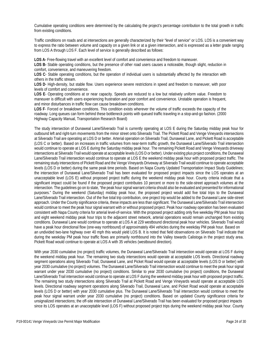Cumulative operating conditions were determined by the calculating the project's percentage contribution to the total growth in traffic from existing conditions.

Traffic conditions on roads and at intersections are generally characterized by their "level of service" or LOS. LOS is a convenient way to express the ratio between volume and capacity on a given link or at a given intersection, and is expressed as a letter grade ranging from LOS A through LOS F. Each level of service is generally described as follows:

**LOS A-** Free-flowing travel with an excellent level of comfort and convenience and freedom to maneuver.

**LOS B-** Stable operating conditions, but the presence of other road users causes a noticeable, though slight, reduction in comfort, convenience, and maneuvering freedom.

**LOS C**- Stable operating conditions, but the operation of individual users is substantially affected by the interaction with others in the traffic stream.

**LOS D**- High-density, but stable flow. Users experience severe restrictions in speed and freedom to maneuver, with poor levels of comfort and convenience.

**LOS E**- Operating conditions at or near capacity. Speeds are reduced to a low but relatively uniform value. Freedom to maneuver is difficult with users experiencing frustration and poor comfort and convenience. Unstable operation is frequent, and minor disturbances in traffic flow can cause breakdown conditions.

**LOS F**- Forced or breakdown conditions. This condition exists wherever the volume of traffic exceeds the capacity of the roadway. Long queues can form behind these bottleneck points with queued traffic traveling in a stop-and-go fashion. (2000 Highway Capacity Manual, Transportation Research Board)

The study intersection of Dunaweal Lane/Silverado Trail is currently operating at LOS E during the Saturday midday peak hour for outbound left and right-turn movements from the minor street onto Silverado Trail. The Pickett Road and Venge Vineyards intersections at Silverado Trail are operating at LOS D or better. Arterial operation on Silverado Trail, Dunaweal Lane, and Pickett Road is acceptable (LOS C or better). Based on increases in traffic volumes from near-term traffic growth, the Dunaweal Lane/Silverado Trail intersection would continue to operate at LOS E during the Saturday midday peak hour. The remaining Pickett Road and Venge Vineyards driveway intersections at Silverado Trail would operate at acceptable levels (LOS D or better). Under existing plus project conditions, the Dunaweal Lane/Silverado Trail intersection would continue to operate at LOS E the weekend midday peak hour with proposed project traffic. The remaining study intersections of Pickett Road and the Venge Vineyards Driveway at Silverado Trail would continue to operate acceptable levels (LOS D or better) during the same peak time periods. Based on Napa County Updated Transportation Impact Study Guidelines; the intersection of Dunaweal Lane/Silverado Trail has been evaluated for proposed project impacts since the LOS operates at an unacceptable level (LOS E) without proposed project traffic during the weekend midday peak hour. County criteria indicate that a significant impact could be found if the proposed project contributes 10 percent or more to the side-street approach volumes at the intersection. The guidelines go on to state, "the peak hour signal warrant criteria should also be evaluated and presented for informational purposes." During the weekend (Saturday) midday peak hour, the proposed project would add five total trips to the Dunaweal Lane/Silverado Trail intersection. Out of the five total trip contribution, one project trip would be added to the Dunaweal Lane side-street approach. Under the County significance criteria, these impacts are less than significant. The Dunaweal Lane/Silverado Trail intersection would continue to meet the peak hour signal warrant with or without proposed project. Peak hour roadway operation has been evaluated consistent with Napa County criteria for arterial level-of-service. With the proposed project adding only five weekday PM peak hour trips and eight weekend midday peak hour trips to the adjacent street network, arterial operations would remain unchanged from existing conditions. Dunaweal Lane would continue to operate at LOS A at 229 westbound directional peak hour vehicles. Silverado Trail would have a peak hour directional flow (one-way northbound) of approximately 494 vehicles during the weekday PM peak hour. Based on an undivided two-lane highway over 40 mph this would yield LOS B. It is noted that field observations on Silverado Trail indicate that during the weekday PM peak hour traffic flows are primarily northbound into the Valley towards Calistoga in the project study area. Pickett Road would continue to operate at LOS A with 35 vehicles (westbound direction).

With year 2030 cumulative (no project) traffic volumes, the Dunaweal Lane/Silverado Trail intersection would operate at LOS F during the weekend midday peak hour. The remaining two study intersections would operate at acceptable LOS levels. Directional roadway segment operations along Silverado Trail, Dunaweal Lane, and Picket Road would operate at acceptable levels (LOS D or better) with year 2030 cumulative (no project) volumes. The Dunaweal Lane/Silverado Trail intersection would continue to meet the peak hour signal warrant under year 2030 cumulative (no project) conditions. Similar to year 2030 cumulative (no project) conditions, the Dunaweal Lane/Silverado Trail intersection would continue to operate at LOS F during the weekend midday peak hour with proposed project traffic. The remaining two study intersections along Silverado Trail at Pickett Road and Venge Vineyards would operate at acceptable LOS levels. Directional roadway segment operations along Silverado Trail, Dunaweal Lane, and Picket Road would operate at acceptable levels (LOS D or better) with year 2030 cumulative plus. The Dunaweal Lane/Silverado Trail intersection would continue to meet the peak hour signal warrant under year 2030 cumulative (no project) conditions. Based on updated County significance criteria for unsignalized intersections; the off-site intersection of Dunaweal Lane/Silverado Trail has been evaluated for proposed project impacts since its LOS operates at an unacceptable level (LOS F) without proposed project trips during the weekend midday peak hour. County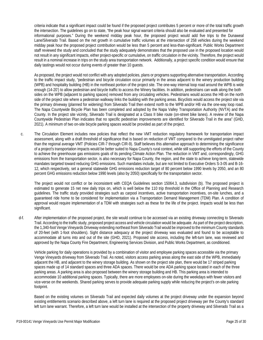criteria indicate that a significant impact could be found if the proposed project contributes 5 percent or more of the total traffic growth the intersection. The guidelines go on to state, "the peak hour signal warrant criteria should also be evaluated and presented for informational purposes." During the weekend midday peak hour, the proposed project would add five trips to the Dunaweal Lane/Silverado Trail. Based on the net growth in cumulative traffic volumes at the intersection of 258 vehicles during the weekend midday peak hour the proposed project contribution would be less than 5 percent and less-than-significant. Public Works Department staff reviewed the study and concluded that the study adequately demonstrates that the proposed use in the proposed location would not result in any significant impacts, either project-specific or cumulative, on traffic circulation in the vicinity. Therefore, the project would result in a nominal increase in trips on the study area transportation network. Additionally, a project specific condition would ensure that daily tastings would not occur during events of greater than 10 guests.

As proposed, the project would not conflict with any adopted policies, plans or programs supporting alternative transportation. According to the traffic impact study, "pedestrian and bicycle circulation occur primarily in the areas adjacent to the winery production building (WPB) and hospitality building (HB) in the northeast portion of the project site. The one-way internal loop road around the WPB is wide enough (14-20') to allow pedestrian and bicycle traffic to access the Winery facilities. In addition, pedestrians can walk along the both sides on the WPB (adjacent to parking spaces) removed from any circulating vehicles. Pedestrians would access the HB on the north side of the project site where a pedestrian walkway links the building with the parking areas. Bicyclists would access the project site via the primary driveway (planned for widening) from Silverado Trail then extend north to the WPB and/or HB via the one-way loop road. The Napa Countywide Bicycle Plan has been completed and adopted by the Napa Valley Transportation Authority (NVTA) and the County. In the project site vicinity, Silverado Trail is designated at a Class II bike route (on-street bike lanes). A review of the Napa Countywide Pedestrian Plan indicates that no specific pedestrian improvements are identified for Silverado Trail in the area" (GHD, 2021). A minimum of two on-site bicycle parking spaces would be provided as part of the project.

c. The Circulation Element includes new policies that reflect the new VMT reduction regulatory framework for transportation impact assessment, along with a draft threshold of significance that is based on reduction of VMT compared to the unmitigated project rather than the regional average VMT (Policies CIR-7 through CIR-9). Staff believes this alternative approach to determining the significance of a project's transportation impacts would be better suited to Napa County's rural context, while still supporting the efforts of the County to achieve the greenhouse gas emissions goals of its pending Climate Action Plan. The reduction in VMT and, correspondingly, GHG emissions from the transportation sector, is also necessary for Napa County, the region, and the state to achieve long-term, statewide mandates targeted toward reducing GHG emissions. Such mandates include, but are not limited to Executive Orders S-3-05 and B-16- 12, which respectively, set a general statewide GHG emissions reduction target of 80 percent below 1990 levels by 2050, and an 80 percent GHG emissions reduction below 1990 levels (also by 2050) specifically for the transportation sector.

The project would not conflict or be inconsistent with CEQA Guidelines section 15064.3, subdivision (b). The proposed project is estimated to generate 15 net new daily trips on, which is well below the 110 trip threshold in the Office of Planning and Research guidelines. The traffic study provided strategies such as carpool incentives, active transportation incentives, on-site lunches, and a guaranteed ride home to be considered for implementation via a Transportation Demand Management (TDM) Plan. A condition of approval would require implementation of a TDM with strategies such as these for the life of the project. Impacts would be less than significant.

d-f. After implementation of the proposed project, the site would continue to be accessed via an existing driveway connecting to Silverado Trail. According to the traffic study, proposed project access and vehicle circulation would be adequate. As part of the project description, the 1,340-foot Venge Vineyards Driveway extending northeast from Silverado Trail would be improved to the minimum County standards of 20-feet (with 1-foot shoulders). Sight distance adequacy at the project driveway was evaluated and found to be acceptable to accommodate all turns into and out of the site (GHD, 2021). Proposed site access, including the left-turn lane, was reviewed and approved by the Napa County Fire Department, Engineering Services Division, and Public Works Department, as conditioned.

Vehicle parking for daily operations is provided by a combination of visitor and employee parking spaces accessible via the primary Venge Vineyards driveway from Silverado Trail. As noted, visitors access parking areas along the east side of the WPB, immediately adjacent the HB, and adjacent to the winery storage building. As shown on the project site plan, there would be 17 striped parking spaces made up of 14 standard spaces and three ADA spaces. There would be one ADA parking space located in each of the three parking areas. A parking area is also proposed between the winery storage building and HB. This parking area is intended to accommodate 10 additional parking spaces. Typically, there are more employees on-site during the weekdays with fewer visitors and vice-verse on the weekends. Shared parking serves to provide adequate parking supply while reducing the project's on-site parking footprint.

Based on the existing volumes on Silverado Trail and expected daily volumes at the project driveway under the expansion beyond existing entitlements scenario described above, a left turn lane is required at the proposed project driveway per the County's standard left turn lane warrant. Therefore, a left turn lane would be installed at the intersection of the property driveway and Silverado Trail as a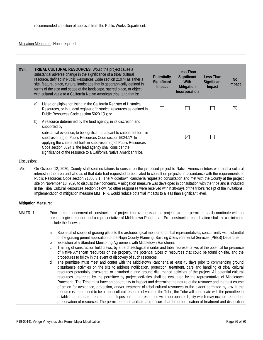#### Mitigation Measures: None required.

| XVIII. |    | TRIBAL CULTURAL RESOURCES. Would the project cause a<br>substantial adverse change in the significance of a tribal cultural<br>resource, defined in Public Resources Code section 21074 as either a<br>site, feature, place, cultural landscape that is geographically defined in<br>terms of the size and scope of the landscape, sacred place, or object<br>with cultural value to a California Native American tribe, and that is:   | <b>Potentially</b><br>Significant<br>Impact | Less Than<br>Significant<br>With<br>Mitigation<br>Incorporation | Less Than<br>Significant<br>Impact | <b>No</b><br>Impact |
|--------|----|-----------------------------------------------------------------------------------------------------------------------------------------------------------------------------------------------------------------------------------------------------------------------------------------------------------------------------------------------------------------------------------------------------------------------------------------|---------------------------------------------|-----------------------------------------------------------------|------------------------------------|---------------------|
|        | a) | Listed or eligible for listing in the California Register of Historical<br>Resources, or in a local register of historical resources as defined in<br>Public Resources Code section 5020.1(k); or                                                                                                                                                                                                                                       |                                             |                                                                 |                                    | $\boxtimes$         |
|        | b) | A resource determined by the lead agency, in its discretion and<br>supported by<br>substantial evidence, to be significant pursuant to criteria set forth in<br>subdivision (c) of Public Resources Code section 5024.1? In<br>applying the criteria set forth in subdivision (c) of Public Resources<br>Code section 5024.1, the lead agency shall consider the<br>significance of the resource to a California Native American tribe. |                                             | $\boxtimes$                                                     |                                    |                     |

#### Discussion:

a/b. On October 12, 2020, County staff sent invitations to consult on the proposed project to Native American tribes who had a cultural interest in the area and who as of that date had requested to be invited to consult on projects, in accordance with the requirements of Public Resources Code section 21080.3.1. The Middletown Rancheria requested consultation and met with the County at the project site on November 18, 2020 to discuss their concerns. A mitigation measure was developed in consultation with the tribe and is included in the Tribal Cultural Resources section below. No other responses were received within 30-days of the tribe's receipt of the invitations. Implementation of mitigation measure MM TRI-1 would reduce potential impacts to a less than significant level.

#### **Mitigation Measure:**

- MM TRI-1: Prior to commencement of construction of project improvements at the project site, the permittee shall coordinate with an archaeological monitor and a representative of Middletown Rancheria. Pre-construction coordination shall, at a minimum, include the following:
	- a. Submittal of copies of grading plans to the archaeological monitor and tribal representatives, concurrently with submittal of the grading permit application to the Napa County Planning, Building & Environmental Services (PBES) Department;
	- b. Execution of a Standard Monitoring Agreement with Middletown Rancheria;
	- c. Training of construction field crews, by an archaeological monitor and tribal representative, of the potential for presence of Native American resources on the property, the potential types of resources that could be found on-site, and the procedures to follow in the event of discovery of such resources;
	- d. The permittee must meet and confer with the Middletown Rancheria at least 45 days prior to commencing ground disturbance activities on the site to address notification, protection, treatment, care and handling of tribal cultural resources potentially discovered or disturbed during ground disturbance activities of the project. All potential cultural resources unearthed by the permittee by project activities shall be evaluated by the representative of Middletown Rancheria. The Tribe must have an opportunity to inspect and determine the nature of the resource and the best course of action for avoidance, protection, and/or treatment of tribal cultural resources to the extent permitted by law. If the resource is determined to be a tribal cultural resource of value to the Tribe, the Tribe will coordinate with the permittee to establish appropriate treatment and disposition of the resources with appropriate dignity which may include reburial or preservation of resources. The permittee must facilitate and ensure that the determination of treatment and disposition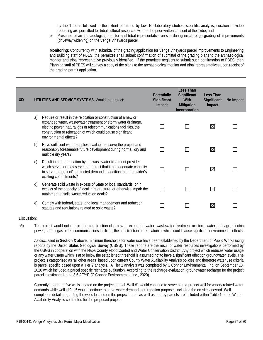by the Tribe is followed to the extent permitted by law. No laboratory studies, scientific analysis, curation or video recording are permitted for tribal cultural resources without the prior written consent of the Tribe; and

e. Presence of an archaeological monitor and tribal representative on-site during initial rough grading of improvements (driveway widening) on the Venge Vineyards parcel.

**Monitoring:** Concurrently with submittal of the grading application for Venge Vineyards parcel improvements to Engineering and Building staff of PBES, the permittee shall submit confirmation of submittal of the grading plans to the archaeological monitor and tribal representative previously identified. If the permittee neglects to submit such confirmation to PBES, then Planning staff of PBES will convey a copy of the plans to the archaeological monitor and tribal representatives upon receipt of the grading permit application.

| XIX. |    | UTILITIES AND SERVICE SYSTEMS. Would the project:                                                                                                                                                                                                                                              | Potentially<br>Significant<br>Impact | Less Than<br>Significant<br><b>With</b><br>Mitigation<br>Incorporation | Less Than<br>Significant<br>Impact | No Impact |
|------|----|------------------------------------------------------------------------------------------------------------------------------------------------------------------------------------------------------------------------------------------------------------------------------------------------|--------------------------------------|------------------------------------------------------------------------|------------------------------------|-----------|
|      | a) | Require or result in the relocation or construction of a new or<br>expanded water, wastewater treatment or storm water drainage,<br>electric power, natural gas or telecommunications facilities, the<br>construction or relocation of which could cause significant<br>environmental effects? |                                      |                                                                        | $\boxtimes$                        |           |
|      | b) | Have sufficient water supplies available to serve the project and<br>reasonably foreseeable future development during normal, dry and<br>multiple dry years?                                                                                                                                   |                                      |                                                                        | $\boxtimes$                        |           |
|      | C) | Result in a determination by the wastewater treatment provider<br>which serves or may serve the project that it has adequate capacity<br>to serve the project's projected demand in addition to the provider's<br>existing commitments?                                                        |                                      |                                                                        | $\boxtimes$                        |           |
|      | d) | Generate solid waste in excess of State or local standards, or in<br>excess of the capacity of local infrastructure, or otherwise impair the<br>attainment of solid waste reduction goals?                                                                                                     |                                      |                                                                        | $\boxtimes$                        |           |
|      | e) | Comply with federal, state, and local management and reduction<br>statutes and regulations related to solid waste?                                                                                                                                                                             |                                      |                                                                        | ⋉                                  |           |

#### Discussion:

a/b. The project would not require the construction of a new or expanded water, wastewater treatment or storm water drainage, electric power, natural gas or telecommunications facilities, the construction or relocation of which could cause significant environmental effects.

As discussed in **Section X** above, minimum thresholds for water use have been established by the Department of Public Works using reports by the United States Geological Survey (USGS). These reports are the result of water resources investigations performed by the USGS in cooperation with the Napa County Flood Control and Water Conservation District. Any project which reduces water usage or any water usage which is at or below the established threshold is assumed not to have a significant effect on groundwater levels. The project is categorized as "all other areas" based upon current County Water Availability Analysis policies and therefore water use criteria is parcel specific based upon a Tier 2 analysis. A Tier 2 analysis was completed by O'Connor Environmental, Inc. on September 18, 2020 which included a parcel specific recharge evaluation. According to the recharge evaluation, groundwater recharge for the project parcel is estimated to be 8.6 AF/YR (O'Connor Environmental, Inc., 2020).

Currently, there are five wells located on the project parcel. Well #1 would continue to serve as the project well for winery related water demands while wells #2 – 5 would continue to serve water demands for irrigation purposes including the on-site vineyard. Well completion details regarding the wells located on the project parcel as well as nearby parcels are included within Table 1 of the Water Availability Analysis completed for the proposed project.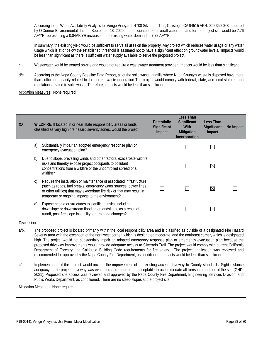According to the Water Availability Analysis for Venge Vineyards 4708 Silverado Trail, Calistoga, CA 94515 APN: 020-350-043 prepared by O'Connor Environmental, Inc. on September 18, 2020, the anticipated total overall water demand for the project site would be 7.76 AF/YR representing a 0.04AF/YR increase of the existing water demand of 7.72 AF/YR.

In summary, the existing yield would be sufficient to serve all uses on the property. Any project which reduces water usage or any water usage which is at or below the established threshold is assumed not to have a significant effect on groundwater levels. Impacts would be less than significant as there is sufficient water supply available to serve the proposed project.

- c. Wastewater would be treated on-site and would not require a wastewater treatment provider. Impacts would be less than significant.
- d/e. According to the Napa County Baseline Data Report, all of the solid waste landfills where Napa County's waste is disposed have more than sufficient capacity related to the current waste generation The project would comply with federal, state, and local statutes and regulations related to solid waste. Therefore, impacts would be less than significant.

**Mitigation Measures: None required.** 

| XX. | WILDFIRE. If located in or near state responsibility areas or lands<br>classified as very high fire hazard severity zones, would the project: |                                                                                                                                                                                                                                                                          | <b>Potentially</b><br>Significant<br>Impact | Less Than<br>Significant<br>With<br><b>Mitigation</b><br>Incorporation | Less Than<br>Significant<br>Impact | No Impact |
|-----|-----------------------------------------------------------------------------------------------------------------------------------------------|--------------------------------------------------------------------------------------------------------------------------------------------------------------------------------------------------------------------------------------------------------------------------|---------------------------------------------|------------------------------------------------------------------------|------------------------------------|-----------|
|     | a)                                                                                                                                            | Substantially impair an adopted emergency response plan or<br>emergency evacuation plan?                                                                                                                                                                                 |                                             |                                                                        | $\boxtimes$                        |           |
|     | b)                                                                                                                                            | Due to slope, prevailing winds and other factors, exacerbate wildfire<br>risks and thereby expose project occupants to pollutant<br>concentrations from a wildfire or the uncontrolled spread of a<br>wildfire?                                                          |                                             |                                                                        | $\boxtimes$                        |           |
|     | C)                                                                                                                                            | Require the installation or maintenance of associated infrastructure<br>(such as roads, fuel breaks, emergency water sources, power lines<br>or other utilities) that may exacerbate fire risk or that may result in<br>temporary or ongoing impacts to the environment? |                                             |                                                                        | $\boxtimes$                        |           |
|     | d)                                                                                                                                            | Expose people or structures to significant risks, including<br>downslope or downstream flooding or landslides, as a result of<br>runoff, post-fire slope instability, or drainage changes?                                                                               |                                             |                                                                        | $\boxtimes$                        |           |

Discussion:

- a/b. The proposed project is located primarily within the local responsibility area and is classified as outside of a designated Fire Hazard Severity area with the exception of the northwest corner, which is designated moderate, and the northeast corner, which is designated high. The project would not substantially impair an adopted emergency response plan or emergency evacuation plan because the proposed driveway improvements would provide adequate access to Silverado Trail. The project would comply with current California Department of Forestry and California Building Code requirements for fire safety. The project application was reviewed and recommended for approval by the Napa County Fire Department, as conditioned. Impacts would be less than significant.
- c/d. Implementation of the project would include the improvement of the existing access driveway to County standards. Sight distance adequacy at the project driveway was evaluated and found to be acceptable to accommodate all turns into and out of the site (GHD, 2021). Proposed site access was reviewed and approved by the Napa County Fire Department, Engineering Services Division, and Public Works Department, as conditioned. There are no steep slopes at the project site.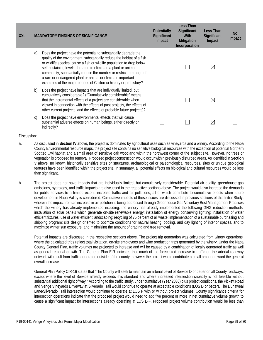| XXI. |    | <b>MANDATORY FINDINGS OF SIGNIFICANCE</b>                                                                                                                                                                                                                                                                                                                                                                                                                                                           | <b>Potentially</b><br>Significant<br>Impact | <b>Less Than</b><br>Significant<br>With<br><b>Mitigation</b><br>Incorporation | Less Than<br>Significant<br>Impact | <b>No</b><br>Impact |
|------|----|-----------------------------------------------------------------------------------------------------------------------------------------------------------------------------------------------------------------------------------------------------------------------------------------------------------------------------------------------------------------------------------------------------------------------------------------------------------------------------------------------------|---------------------------------------------|-------------------------------------------------------------------------------|------------------------------------|---------------------|
|      | a) | Does the project have the potential to substantially degrade the<br>quality of the environment, substantially reduce the habitat of a fish<br>or wildlife species, cause a fish or wildlife population to drop below<br>self-sustaining levels, threaten to eliminate a plant or animal<br>community, substantially reduce the number or restrict the range of<br>a rare or endangered plant or animal or eliminate important<br>examples of the major periods of California history or prehistory? |                                             |                                                                               | $\boxtimes$                        |                     |
|      | b) | Does the project have impacts that are individually limited, but<br>cumulatively considerable? ("Cumulatively considerable" means<br>that the incremental effects of a project are considerable when<br>viewed in connection with the effects of past projects, the effects of<br>other current projects, and the effects of probable future projects)?                                                                                                                                             |                                             |                                                                               | $\boxtimes$                        |                     |
|      | C) | Does the project have environmental effects that will cause<br>substantial adverse effects on human beings, either directly or<br>indirectly?                                                                                                                                                                                                                                                                                                                                                       |                                             |                                                                               | $\boxtimes$                        |                     |

- a. As discussed in **Section IV** above, the project is dominated by agricultural uses such as vineyards and a winery. According to the Napa County Environmental resource maps, the project site contains no sensitive biological resources with the exception of potential Northern Spotted Owl habitat and a small area of sensitive oak woodland within the northwest corner of the subject site. However, no trees or vegetation is proposed for removal. Proposed project construction would occur within previously disturbed areas. As identified in **Section V** above, no known historically sensitive sites or structures, archaeological or paleontological resources, sites or unique geological features have been identified within the project site. In summary, all potential effects on biological and cultural resources would be less than significant.
- b. The project does not have impacts that are individually limited, but cumulatively considerable. Potential air quality, greenhouse gas emissions, hydrology, and traffic impacts are discussed in the respective sections above. The project would also increase the demands for public services to a limited extent, increase traffic and air pollutions, all of which contribute to cumulative effects when future development in Napa Valley is considered. Cumulative impacts of these issues are discussed in previous sections of this Initial Study, wherein the impact from an increase in air pollution is being addressed through Greenhouse Gas Voluntary Best Management Practices which the winery has already implemented including: the winery has already implemented the following GHG reduction methods: installation of solar panels which generate on-site renewable energy; installation of energy conserving lighting; installation of water efficient fixtures; use of water efficient landscaping; recycling of 75 percent of all waste; implementation of a sustainable purchasing and shipping program; site design oriented to optimize conditions for natural heating, cooling, and day lighting of interior spaces, and to maximize winter sun exposure; and minimizing the amount of grading and tree removal.

Potential impacts are discussed in the respective sections above. The project trip generation was calculated from winery operations, where the calculated trips reflect total visitation, on-site employees and wine production trips generated by the winery. Under the Napa County General Plan, traffic volumes are projected to increase and will be caused by a combination of locally generated traffic as well as general regional growth. The General Plan EIR indicates that much of the forecasted increase in traffic on the arterial roadway network will result from traffic generated outside of the county, however the project would contribute a small amount toward the general overall increase.

General Plan Policy CIR-16 states that "The County will seek to maintain an arterial Level of Service D or better on all County roadways, except where the level of Service already exceeds this standard and where increased intersection capacity is not feasible without substantial additional right of way." According to the traffic study, under cumulative (Year 2030) plus project conditions, the Pickett Road and Venge Vineyards Driveway at Silverado Trail would continue to operate at acceptable conditions (LOS D or better). The Dunaweal Lane/Silverado Trail intersection would continue to operate at LOS F with or without project volumes. County significance criteria for intersection operations indicate that the proposed project would need to add five percent or more in net cumulative volume growth to cause a significant impact for intersections already operating at LOS E-F. Proposed project volume contribution would be less than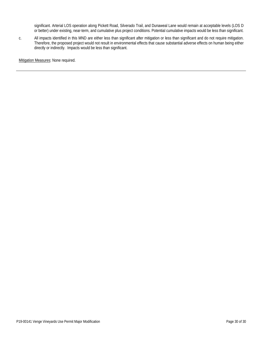significant. Arterial LOS operation along Pickett Road, Silverado Trail, and Dunaweal Lane would remain at acceptable levels (LOS D or better) under existing, near-term, and cumulative plus project conditions. Potential cumulative impacts would be less than significant.

c. All impacts identified in this MND are either less than significant after mitigation or less than significant and do not require mitigation. Therefore, the proposed project would not result in environmental effects that cause substantial adverse effects on human being either directly or indirectly. Impacts would be less than significant.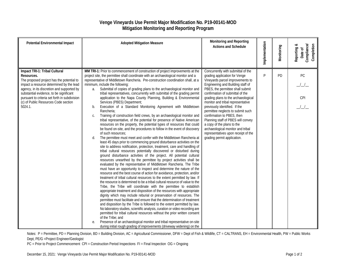### **Venge Vineyards Use Permit Major Modification No. P19-00141-MOD Mitigation Monitoring and Reporting Program**

| <b>Potential Environmental Impact</b>                                                                                                                                                                                                                                                                                             | <b>Adopted Mitigation Measure</b>                                                                                                                                                                                                                                                                                                                                                                                                                                                                                                                                                                                                                                                                                                                                                                                                                                                                                                                                                                                                                                                                                                                                                                                                                                                                                                                                                                                                                                                                                                                                                                                                                                                                                                                                                                                                                                                                                                                                                                                                                                                                                                                                                                                                                                                                                                                                                                                                                                                                                                                                   | Monitoring and Reporting<br><b>Actions and Schedule</b>                                                                                                                                                                                                                                                                                                                                                                                                                                                                                                                             | Implementation | Monitoring | Compliance/<br>Completion<br>Reporting &<br>Date of |
|-----------------------------------------------------------------------------------------------------------------------------------------------------------------------------------------------------------------------------------------------------------------------------------------------------------------------------------|---------------------------------------------------------------------------------------------------------------------------------------------------------------------------------------------------------------------------------------------------------------------------------------------------------------------------------------------------------------------------------------------------------------------------------------------------------------------------------------------------------------------------------------------------------------------------------------------------------------------------------------------------------------------------------------------------------------------------------------------------------------------------------------------------------------------------------------------------------------------------------------------------------------------------------------------------------------------------------------------------------------------------------------------------------------------------------------------------------------------------------------------------------------------------------------------------------------------------------------------------------------------------------------------------------------------------------------------------------------------------------------------------------------------------------------------------------------------------------------------------------------------------------------------------------------------------------------------------------------------------------------------------------------------------------------------------------------------------------------------------------------------------------------------------------------------------------------------------------------------------------------------------------------------------------------------------------------------------------------------------------------------------------------------------------------------------------------------------------------------------------------------------------------------------------------------------------------------------------------------------------------------------------------------------------------------------------------------------------------------------------------------------------------------------------------------------------------------------------------------------------------------------------------------------------------------|-------------------------------------------------------------------------------------------------------------------------------------------------------------------------------------------------------------------------------------------------------------------------------------------------------------------------------------------------------------------------------------------------------------------------------------------------------------------------------------------------------------------------------------------------------------------------------------|----------------|------------|-----------------------------------------------------|
| Impact TRI-1: Tribal Cultural<br>Resources.<br>The proposed project has the potential to<br>impact a resource determined by the lead<br>agency, in its discretion and supported by<br>substantial evidence, to be significant<br>pursuant to criteria set forth in subdivision<br>(c) of Public Resources Code section<br>5024.1. | MM TRI-1: Prior to commencement of construction of project improvements at the<br>project site, the permittee shall coordinate with an archaeological monitor and a<br>representative of Middletown Rancheria. Pre-construction coordination shall, at a<br>minimum, include the following:<br>Submittal of copies of grading plans to the archaeological monitor and<br>a.<br>tribal representatives, concurrently with submittal of the grading permit<br>application to the Napa County Planning, Building & Environmental<br>Services (PBES) Department;<br>Execution of a Standard Monitoring Agreement with Middletown<br>b.<br>Rancheria;<br>Training of construction field crews, by an archaeological monitor and<br>C.<br>tribal representative, of the potential for presence of Native American<br>resources on the property, the potential types of resources that could<br>be found on-site, and the procedures to follow in the event of discovery<br>of such resources;<br>The permittee must meet and confer with the Middletown Rancheria at<br>d.<br>least 45 days prior to commencing ground disturbance activities on the<br>site to address notification, protection, treatment, care and handling of<br>tribal cultural resources potentially discovered or disturbed during<br>ground disturbance activities of the project. All potential cultural<br>resources unearthed by the permittee by project activities shall be<br>evaluated by the representative of Middletown Rancheria. The Tribe<br>must have an opportunity to inspect and determine the nature of the<br>resource and the best course of action for avoidance, protection, and/or<br>treatment of tribal cultural resources to the extent permitted by law. If<br>the resource is determined to be a tribal cultural resource of value to the<br>Tribe, the Tribe will coordinate with the permittee to establish<br>appropriate treatment and disposition of the resources with appropriate<br>dignity which may include reburial or preservation of resources. The<br>permittee must facilitate and ensure that the determination of treatment<br>and disposition by the Tribe is followed to the extent permitted by law.<br>No laboratory studies, scientific analysis, curation or video recording are<br>permitted for tribal cultural resources without the prior written consent<br>of the Tribe; and<br>Presence of an archaeological monitor and tribal representative on-site<br>е.<br>during initial rough grading of improvements (driveway widening) on the | Concurrently with submittal of the<br>grading application for Venge<br>Vineyards parcel improvements to<br>Engineering and Building staff of<br>PBES, the permittee shall submit<br>confirmation of submittal of the<br>grading plans to the archaeological<br>monitor and tribal representative<br>previously identified. If the<br>permittee neglects to submit such<br>confirmation to PBES, then<br>Planning staff of PBES will convey<br>a copy of the plans to the<br>archaeological monitor and tribal<br>representatives upon receipt of the<br>grading permit application. | P              | PD         | PC<br>CPI                                           |

Notes: P = Permittee, PD = Planning Division, BD = Building Division, AC = Agricultural Commissioner, DFW = Dept of Fish & Wildlife, CT = CALTRANS, EH = Environmental Health, PW = Public Works Dept, PE/G =Project Engineer/Geologist

PC = Prior to Project Commencement CPI = Construction Period Inspections FI = Final Inspection OG = Ongoing